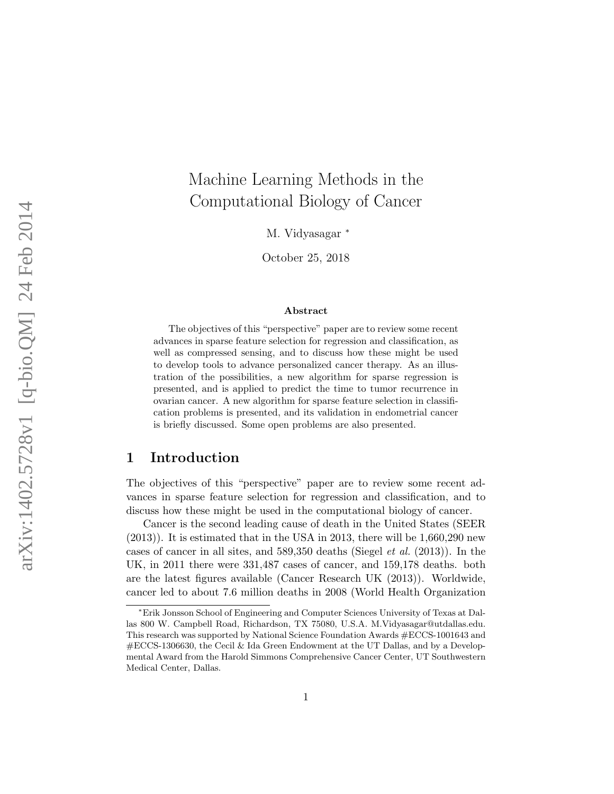# Machine Learning Methods in the Computational Biology of Cancer

M. Vidyasagar <sup>\*</sup>

October 25, 2018

#### Abstract

The objectives of this "perspective" paper are to review some recent advances in sparse feature selection for regression and classification, as well as compressed sensing, and to discuss how these might be used to develop tools to advance personalized cancer therapy. As an illustration of the possibilities, a new algorithm for sparse regression is presented, and is applied to predict the time to tumor recurrence in ovarian cancer. A new algorithm for sparse feature selection in classification problems is presented, and its validation in endometrial cancer is briefly discussed. Some open problems are also presented.

### 1 Introduction

The objectives of this "perspective" paper are to review some recent advances in sparse feature selection for regression and classification, and to discuss how these might be used in the computational biology of cancer.

Cancer is the second leading cause of death in the United States (SEER (2013)). It is estimated that in the USA in 2013, there will be 1,660,290 new cases of cancer in all sites, and 589,350 deaths (Siegel et al. (2013)). In the UK, in 2011 there were 331,487 cases of cancer, and 159,178 deaths. both are the latest figures available (Cancer Research UK (2013)). Worldwide, cancer led to about 7.6 million deaths in 2008 (World Health Organization

<sup>∗</sup>Erik Jonsson School of Engineering and Computer Sciences University of Texas at Dallas 800 W. Campbell Road, Richardson, TX 75080, U.S.A. M.Vidyasagar@utdallas.edu. This research was supported by National Science Foundation Awards #ECCS-1001643 and #ECCS-1306630, the Cecil & Ida Green Endowment at the UT Dallas, and by a Developmental Award from the Harold Simmons Comprehensive Cancer Center, UT Southwestern Medical Center, Dallas.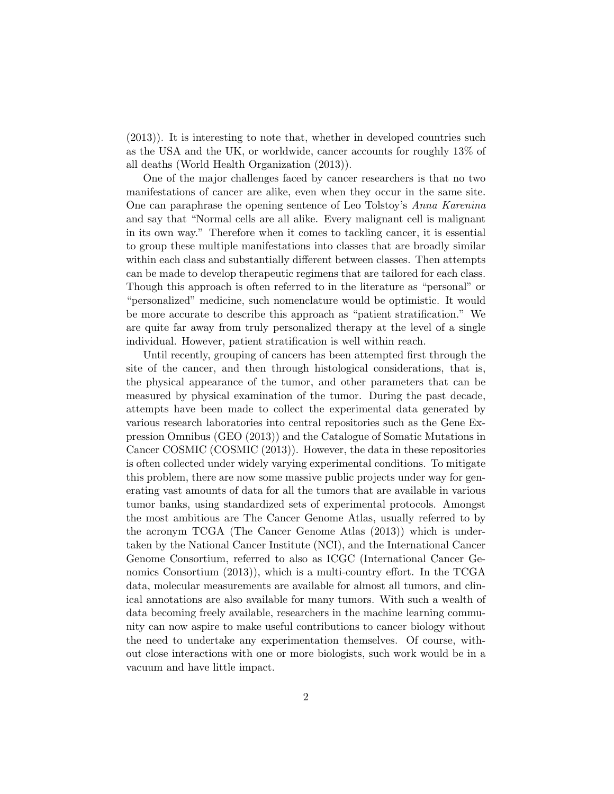(2013)). It is interesting to note that, whether in developed countries such as the USA and the UK, or worldwide, cancer accounts for roughly 13% of all deaths (World Health Organization (2013)).

One of the major challenges faced by cancer researchers is that no two manifestations of cancer are alike, even when they occur in the same site. One can paraphrase the opening sentence of Leo Tolstoy's Anna Karenina and say that "Normal cells are all alike. Every malignant cell is malignant in its own way." Therefore when it comes to tackling cancer, it is essential to group these multiple manifestations into classes that are broadly similar within each class and substantially different between classes. Then attempts can be made to develop therapeutic regimens that are tailored for each class. Though this approach is often referred to in the literature as "personal" or "personalized" medicine, such nomenclature would be optimistic. It would be more accurate to describe this approach as "patient stratification." We are quite far away from truly personalized therapy at the level of a single individual. However, patient stratification is well within reach.

Until recently, grouping of cancers has been attempted first through the site of the cancer, and then through histological considerations, that is, the physical appearance of the tumor, and other parameters that can be measured by physical examination of the tumor. During the past decade, attempts have been made to collect the experimental data generated by various research laboratories into central repositories such as the Gene Expression Omnibus (GEO (2013)) and the Catalogue of Somatic Mutations in Cancer COSMIC (COSMIC (2013)). However, the data in these repositories is often collected under widely varying experimental conditions. To mitigate this problem, there are now some massive public projects under way for generating vast amounts of data for all the tumors that are available in various tumor banks, using standardized sets of experimental protocols. Amongst the most ambitious are The Cancer Genome Atlas, usually referred to by the acronym TCGA (The Cancer Genome Atlas (2013)) which is undertaken by the National Cancer Institute (NCI), and the International Cancer Genome Consortium, referred to also as ICGC (International Cancer Genomics Consortium (2013)), which is a multi-country effort. In the TCGA data, molecular measurements are available for almost all tumors, and clinical annotations are also available for many tumors. With such a wealth of data becoming freely available, researchers in the machine learning community can now aspire to make useful contributions to cancer biology without the need to undertake any experimentation themselves. Of course, without close interactions with one or more biologists, such work would be in a vacuum and have little impact.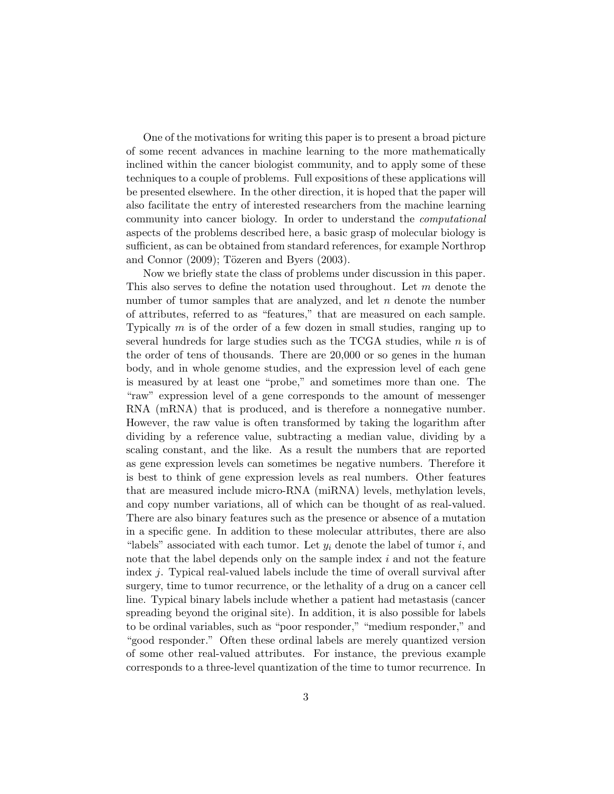One of the motivations for writing this paper is to present a broad picture of some recent advances in machine learning to the more mathematically inclined within the cancer biologist community, and to apply some of these techniques to a couple of problems. Full expositions of these applications will be presented elsewhere. In the other direction, it is hoped that the paper will also facilitate the entry of interested researchers from the machine learning community into cancer biology. In order to understand the computational aspects of the problems described here, a basic grasp of molecular biology is sufficient, as can be obtained from standard references, for example Northrop and Connor  $(2009)$ ; Tözeren and Byers  $(2003)$ .

Now we briefly state the class of problems under discussion in this paper. This also serves to define the notation used throughout. Let m denote the number of tumor samples that are analyzed, and let  $n$  denote the number of attributes, referred to as "features," that are measured on each sample. Typically m is of the order of a few dozen in small studies, ranging up to several hundreds for large studies such as the TCGA studies, while  $n$  is of the order of tens of thousands. There are 20,000 or so genes in the human body, and in whole genome studies, and the expression level of each gene is measured by at least one "probe," and sometimes more than one. The "raw" expression level of a gene corresponds to the amount of messenger RNA (mRNA) that is produced, and is therefore a nonnegative number. However, the raw value is often transformed by taking the logarithm after dividing by a reference value, subtracting a median value, dividing by a scaling constant, and the like. As a result the numbers that are reported as gene expression levels can sometimes be negative numbers. Therefore it is best to think of gene expression levels as real numbers. Other features that are measured include micro-RNA (miRNA) levels, methylation levels, and copy number variations, all of which can be thought of as real-valued. There are also binary features such as the presence or absence of a mutation in a specific gene. In addition to these molecular attributes, there are also "labels" associated with each tumor. Let  $y_i$  denote the label of tumor i, and note that the label depends only on the sample index  $i$  and not the feature index j. Typical real-valued labels include the time of overall survival after surgery, time to tumor recurrence, or the lethality of a drug on a cancer cell line. Typical binary labels include whether a patient had metastasis (cancer spreading beyond the original site). In addition, it is also possible for labels to be ordinal variables, such as "poor responder," "medium responder," and "good responder." Often these ordinal labels are merely quantized version of some other real-valued attributes. For instance, the previous example corresponds to a three-level quantization of the time to tumor recurrence. In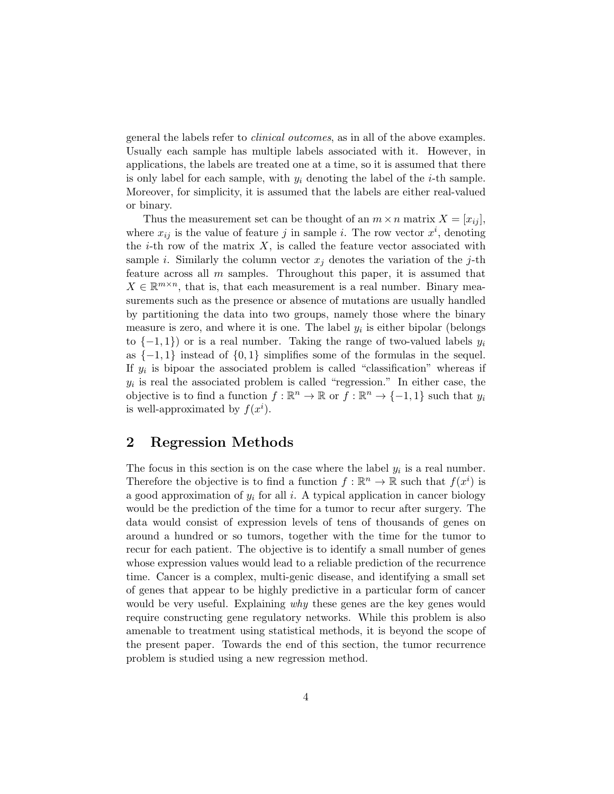general the labels refer to clinical outcomes, as in all of the above examples. Usually each sample has multiple labels associated with it. However, in applications, the labels are treated one at a time, so it is assumed that there is only label for each sample, with  $y_i$  denoting the label of the *i*-th sample. Moreover, for simplicity, it is assumed that the labels are either real-valued or binary.

Thus the measurement set can be thought of an  $m \times n$  matrix  $X = [x_{ij}]$ , where  $x_{ij}$  is the value of feature j in sample i. The row vector  $x^i$ , denoting the *i*-th row of the matrix  $X$ , is called the feature vector associated with sample i. Similarly the column vector  $x_i$  denotes the variation of the j-th feature across all  $m$  samples. Throughout this paper, it is assumed that  $X \in \mathbb{R}^{m \times n}$ , that is, that each measurement is a real number. Binary measurements such as the presence or absence of mutations are usually handled by partitioning the data into two groups, namely those where the binary measure is zero, and where it is one. The label  $y_i$  is either bipolar (belongs to  $\{-1,1\}$  or is a real number. Taking the range of two-valued labels  $y_i$ as  $\{-1, 1\}$  instead of  $\{0, 1\}$  simplifies some of the formulas in the sequel. If  $y_i$  is bipoar the associated problem is called "classification" whereas if  $y_i$  is real the associated problem is called "regression." In either case, the objective is to find a function  $f : \mathbb{R}^n \to \mathbb{R}$  or  $f : \mathbb{R}^n \to \{-1,1\}$  such that  $y_i$ is well-approximated by  $f(x^i)$ .

## 2 Regression Methods

The focus in this section is on the case where the label  $y_i$  is a real number. Therefore the objective is to find a function  $f : \mathbb{R}^n \to \mathbb{R}$  such that  $f(x^i)$  is a good approximation of  $y_i$  for all i. A typical application in cancer biology would be the prediction of the time for a tumor to recur after surgery. The data would consist of expression levels of tens of thousands of genes on around a hundred or so tumors, together with the time for the tumor to recur for each patient. The objective is to identify a small number of genes whose expression values would lead to a reliable prediction of the recurrence time. Cancer is a complex, multi-genic disease, and identifying a small set of genes that appear to be highly predictive in a particular form of cancer would be very useful. Explaining *why* these genes are the key genes would require constructing gene regulatory networks. While this problem is also amenable to treatment using statistical methods, it is beyond the scope of the present paper. Towards the end of this section, the tumor recurrence problem is studied using a new regression method.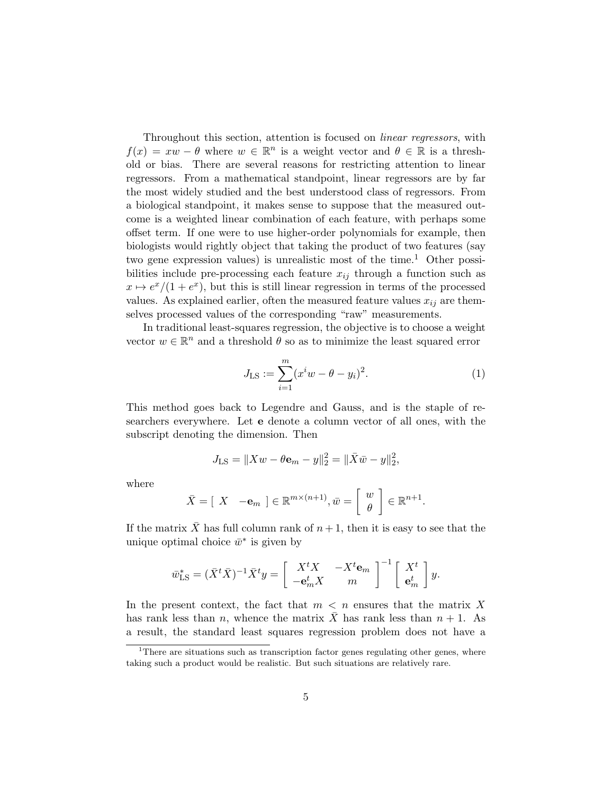Throughout this section, attention is focused on linear regressors, with  $f(x) = xw - \theta$  where  $w \in \mathbb{R}^n$  is a weight vector and  $\theta \in \mathbb{R}$  is a threshold or bias. There are several reasons for restricting attention to linear regressors. From a mathematical standpoint, linear regressors are by far the most widely studied and the best understood class of regressors. From a biological standpoint, it makes sense to suppose that the measured outcome is a weighted linear combination of each feature, with perhaps some offset term. If one were to use higher-order polynomials for example, then biologists would rightly object that taking the product of two features (say two gene expression values) is unrealistic most of the time.<sup>1</sup> Other possibilities include pre-processing each feature  $x_{ij}$  through a function such as  $x \mapsto e^x/(1 + e^x)$ , but this is still linear regression in terms of the processed values. As explained earlier, often the measured feature values  $x_{ij}$  are themselves processed values of the corresponding "raw" measurements.

In traditional least-squares regression, the objective is to choose a weight vector  $w \in \mathbb{R}^n$  and a threshold  $\theta$  so as to minimize the least squared error

$$
J_{\text{LS}} := \sum_{i=1}^{m} (x^i w - \theta - y_i)^2.
$$
 (1)

This method goes back to Legendre and Gauss, and is the staple of researchers everywhere. Let e denote a column vector of all ones, with the subscript denoting the dimension. Then

$$
J_{\text{LS}} = \|Xw - \theta \mathbf{e}_m - y\|_2^2 = \|\bar{X}\bar{w} - y\|_2^2,
$$

where

$$
\bar{X} = [X \quad -\mathbf{e}_m] \in \mathbb{R}^{m \times (n+1)}, \bar{w} = \left[ \begin{array}{c} w \\ \theta \end{array} \right] \in \mathbb{R}^{n+1}.
$$

If the matrix  $\overline{X}$  has full column rank of  $n + 1$ , then it is easy to see that the unique optimal choice  $\bar{w}^*$  is given by

$$
\bar{w}_{\text{LS}}^* = (\bar{X}^t \bar{X})^{-1} \bar{X}^t y = \begin{bmatrix} X^t X & -X^t \mathbf{e}_m \\ -\mathbf{e}_m^t X & m \end{bmatrix}^{-1} \begin{bmatrix} X^t \\ \mathbf{e}_m^t \end{bmatrix} y.
$$

In the present context, the fact that  $m < n$  ensures that the matrix X has rank less than n, whence the matrix  $\bar{X}$  has rank less than  $n + 1$ . As a result, the standard least squares regression problem does not have a

<sup>&</sup>lt;sup>1</sup>There are situations such as transcription factor genes regulating other genes, where taking such a product would be realistic. But such situations are relatively rare.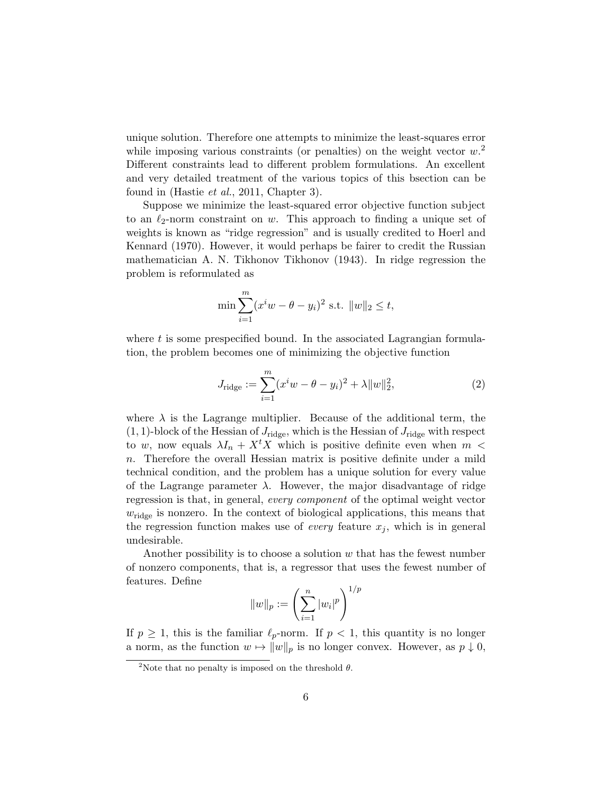unique solution. Therefore one attempts to minimize the least-squares error while imposing various constraints (or penalties) on the weight vector  $w^2$ . Different constraints lead to different problem formulations. An excellent and very detailed treatment of the various topics of this bsection can be found in (Hastie *et al.*, 2011, Chapter 3).

Suppose we minimize the least-squared error objective function subject to an  $\ell_2$ -norm constraint on w. This approach to finding a unique set of weights is known as "ridge regression" and is usually credited to Hoerl and Kennard (1970). However, it would perhaps be fairer to credit the Russian mathematician A. N. Tikhonov Tikhonov (1943). In ridge regression the problem is reformulated as

$$
\min \sum_{i=1}^{m} (x^i w - \theta - y_i)^2 \text{ s.t. } ||w||_2 \le t,
$$

where  $t$  is some prespecified bound. In the associated Lagrangian formulation, the problem becomes one of minimizing the objective function

$$
J_{\text{ridge}} := \sum_{i=1}^{m} (x^i w - \theta - y_i)^2 + \lambda ||w||_2^2, \tag{2}
$$

where  $\lambda$  is the Lagrange multiplier. Because of the additional term, the  $(1, 1)$ -block of the Hessian of  $J_{\text{ridge}}$ , which is the Hessian of  $J_{\text{ridge}}$  with respect to w, now equals  $\lambda I_n + X^t X$  which is positive definite even when m < n. Therefore the overall Hessian matrix is positive definite under a mild technical condition, and the problem has a unique solution for every value of the Lagrange parameter  $\lambda$ . However, the major disadvantage of ridge regression is that, in general, every component of the optimal weight vector  $w_{\text{ridge}}$  is nonzero. In the context of biological applications, this means that the regression function makes use of *every* feature  $x_j$ , which is in general undesirable.

Another possibility is to choose a solution  $w$  that has the fewest number of nonzero components, that is, a regressor that uses the fewest number of features. Define  $\, p$ 

$$
||w||_p := \left(\sum_{i=1}^n |w_i|^p\right)^{1/p}
$$

If  $p \geq 1$ , this is the familiar  $\ell_p$ -norm. If  $p < 1$ , this quantity is no longer a norm, as the function  $w \mapsto ||w||_p$  is no longer convex. However, as  $p \downarrow 0$ ,

<sup>&</sup>lt;sup>2</sup>Note that no penalty is imposed on the threshold  $\theta$ .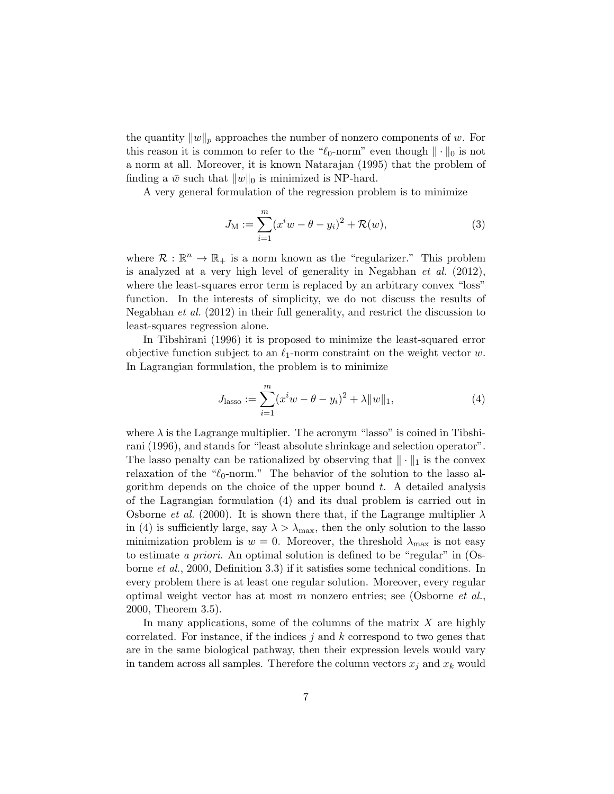the quantity  $||w||_p$  approaches the number of nonzero components of w. For this reason it is common to refer to the " $\ell_0$ -norm" even though  $\|\cdot\|_0$  is not a norm at all. Moreover, it is known Natarajan (1995) that the problem of finding a  $\bar{w}$  such that  $||w||_0$  is minimized is NP-hard.

A very general formulation of the regression problem is to minimize

$$
J_{\mathcal{M}} := \sum_{i=1}^{m} (x^i w - \theta - y_i)^2 + \mathcal{R}(w), \tag{3}
$$

where  $\mathcal{R}: \mathbb{R}^n \to \mathbb{R}_+$  is a norm known as the "regularizer." This problem is analyzed at a very high level of generality in Negabhan  $et \ al. (2012)$ , where the least-squares error term is replaced by an arbitrary convex "loss" function. In the interests of simplicity, we do not discuss the results of Negabhan et al. (2012) in their full generality, and restrict the discussion to least-squares regression alone.

In Tibshirani (1996) it is proposed to minimize the least-squared error objective function subject to an  $\ell_1$ -norm constraint on the weight vector w. In Lagrangian formulation, the problem is to minimize

$$
J_{\text{lasso}} := \sum_{i=1}^{m} (x^i w - \theta - y_i)^2 + \lambda ||w||_1,
$$
 (4)

where  $\lambda$  is the Lagrange multiplier. The acronym "lasso" is coined in Tibshirani (1996), and stands for "least absolute shrinkage and selection operator". The lasso penalty can be rationalized by observing that  $\|\cdot\|_1$  is the convex relaxation of the " $\ell_0$ -norm." The behavior of the solution to the lasso algorithm depends on the choice of the upper bound  $t$ . A detailed analysis of the Lagrangian formulation (4) and its dual problem is carried out in Osborne *et al.* (2000). It is shown there that, if the Lagrange multiplier  $\lambda$ in (4) is sufficiently large, say  $\lambda > \lambda_{\text{max}}$ , then the only solution to the lasso minimization problem is  $w = 0$ . Moreover, the threshold  $\lambda_{\text{max}}$  is not easy to estimate a priori. An optimal solution is defined to be "regular" in  $OS$ borne et al., 2000, Definition 3.3) if it satisfies some technical conditions. In every problem there is at least one regular solution. Moreover, every regular optimal weight vector has at most m nonzero entries; see (Osborne et al., 2000, Theorem 3.5).

In many applications, some of the columns of the matrix  $X$  are highly correlated. For instance, if the indices  $j$  and  $k$  correspond to two genes that are in the same biological pathway, then their expression levels would vary in tandem across all samples. Therefore the column vectors  $x_j$  and  $x_k$  would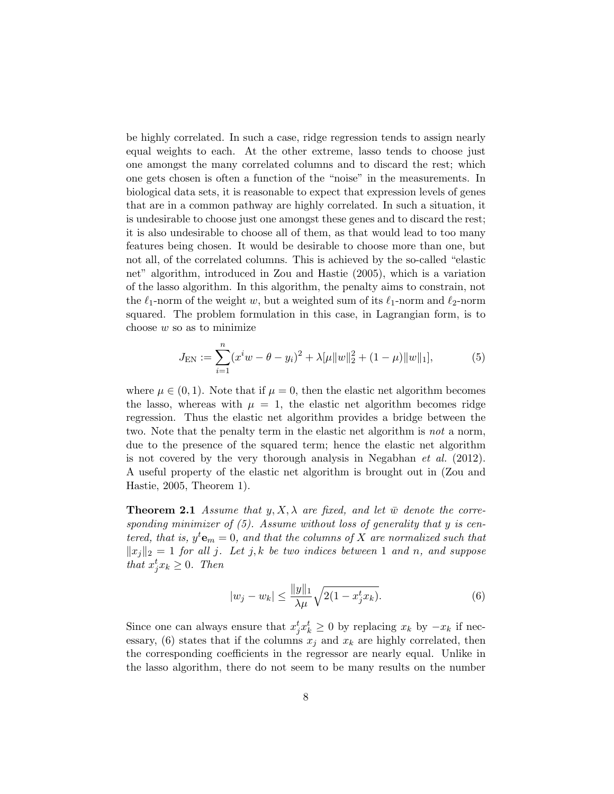be highly correlated. In such a case, ridge regression tends to assign nearly equal weights to each. At the other extreme, lasso tends to choose just one amongst the many correlated columns and to discard the rest; which one gets chosen is often a function of the "noise" in the measurements. In biological data sets, it is reasonable to expect that expression levels of genes that are in a common pathway are highly correlated. In such a situation, it is undesirable to choose just one amongst these genes and to discard the rest; it is also undesirable to choose all of them, as that would lead to too many features being chosen. It would be desirable to choose more than one, but not all, of the correlated columns. This is achieved by the so-called "elastic net" algorithm, introduced in Zou and Hastie (2005), which is a variation of the lasso algorithm. In this algorithm, the penalty aims to constrain, not the  $\ell_1$ -norm of the weight w, but a weighted sum of its  $\ell_1$ -norm and  $\ell_2$ -norm squared. The problem formulation in this case, in Lagrangian form, is to choose  $w$  so as to minimize

$$
J_{\text{EN}} := \sum_{i=1}^{n} (x^i w - \theta - y_i)^2 + \lambda [\mu ||w||_2^2 + (1 - \mu) ||w||_1],\tag{5}
$$

where  $\mu \in (0, 1)$ . Note that if  $\mu = 0$ , then the elastic net algorithm becomes the lasso, whereas with  $\mu = 1$ , the elastic net algorithm becomes ridge regression. Thus the elastic net algorithm provides a bridge between the two. Note that the penalty term in the elastic net algorithm is not a norm, due to the presence of the squared term; hence the elastic net algorithm is not covered by the very thorough analysis in Negabhan *et al.*  $(2012)$ . A useful property of the elastic net algorithm is brought out in (Zou and Hastie, 2005, Theorem 1).

**Theorem 2.1** Assume that  $y, X, \lambda$  are fixed, and let  $\overline{w}$  denote the corresponding minimizer of  $(5)$ . Assume without loss of generality that y is centered, that is,  $y^t e_m = 0$ , and that the columns of X are normalized such that  $||x_j||_2 = 1$  for all j. Let j, k be two indices between 1 and n, and suppose that  $x_j^t x_k \geq 0$ . Then

$$
|w_j - w_k| \le \frac{\|y\|_1}{\lambda \mu} \sqrt{2(1 - x_j^t x_k)}.
$$
 (6)

Since one can always ensure that  $x_j^t x_k^t \geq 0$  by replacing  $x_k$  by  $-x_k$  if necessary, (6) states that if the columns  $x_i$  and  $x_k$  are highly correlated, then the corresponding coefficients in the regressor are nearly equal. Unlike in the lasso algorithm, there do not seem to be many results on the number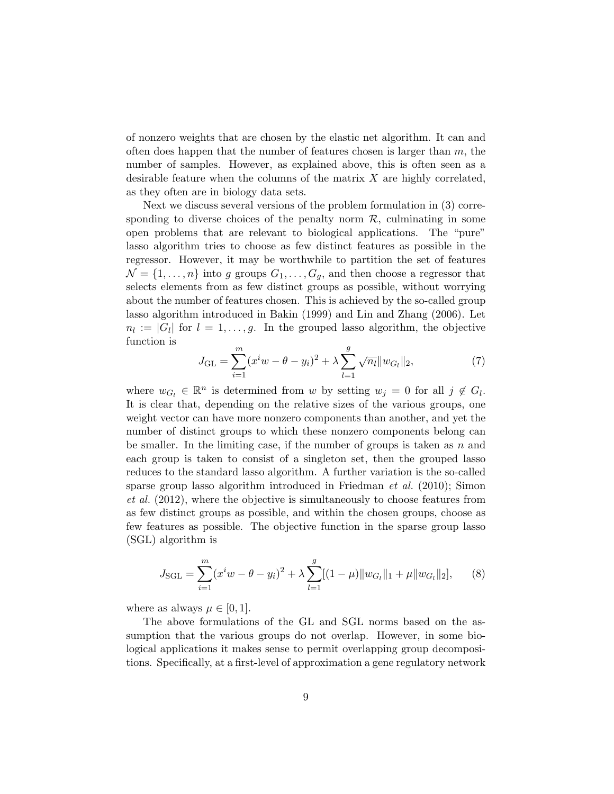of nonzero weights that are chosen by the elastic net algorithm. It can and often does happen that the number of features chosen is larger than  $m$ , the number of samples. However, as explained above, this is often seen as a desirable feature when the columns of the matrix  $X$  are highly correlated, as they often are in biology data sets.

Next we discuss several versions of the problem formulation in (3) corresponding to diverse choices of the penalty norm  $\mathcal{R}$ , culminating in some open problems that are relevant to biological applications. The "pure" lasso algorithm tries to choose as few distinct features as possible in the regressor. However, it may be worthwhile to partition the set of features  $\mathcal{N} = \{1, \ldots, n\}$  into g groups  $G_1, \ldots, G_g$ , and then choose a regressor that selects elements from as few distinct groups as possible, without worrying about the number of features chosen. This is achieved by the so-called group lasso algorithm introduced in Bakin (1999) and Lin and Zhang (2006). Let  $n_l := |G_l|$  for  $l = 1, \ldots, g$ . In the grouped lasso algorithm, the objective function is

$$
J_{\text{GL}} = \sum_{i=1}^{m} (x^i w - \theta - y_i)^2 + \lambda \sum_{l=1}^{g} \sqrt{n_l} \|w_{G_l}\|_2, \tag{7}
$$

where  $w_{G_l} \in \mathbb{R}^n$  is determined from w by setting  $w_j = 0$  for all  $j \notin G_l$ . It is clear that, depending on the relative sizes of the various groups, one weight vector can have more nonzero components than another, and yet the number of distinct groups to which these nonzero components belong can be smaller. In the limiting case, if the number of groups is taken as  $n$  and each group is taken to consist of a singleton set, then the grouped lasso reduces to the standard lasso algorithm. A further variation is the so-called sparse group lasso algorithm introduced in Friedman et al. (2010); Simon et al. (2012), where the objective is simultaneously to choose features from as few distinct groups as possible, and within the chosen groups, choose as few features as possible. The objective function in the sparse group lasso (SGL) algorithm is

$$
J_{\text{SGL}} = \sum_{i=1}^{m} (x^i w - \theta - y_i)^2 + \lambda \sum_{l=1}^{g} [(1 - \mu) \|w_{G_l}\|_1 + \mu \|w_{G_l}\|_2],\qquad(8)
$$

where as always  $\mu \in [0, 1]$ .

The above formulations of the GL and SGL norms based on the assumption that the various groups do not overlap. However, in some biological applications it makes sense to permit overlapping group decompositions. Specifically, at a first-level of approximation a gene regulatory network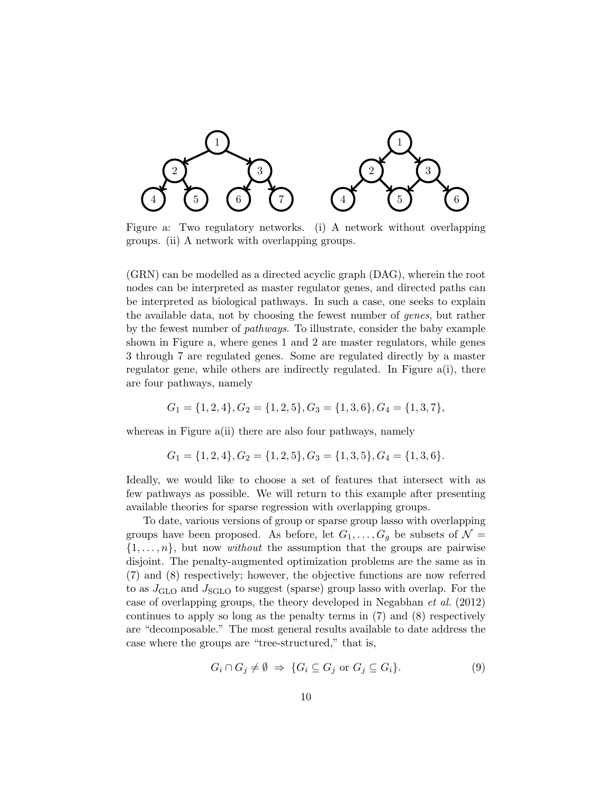

Figure a: Two regulatory networks. (i) A network without overlapping groups. (ii) A network with overlapping groups.

(GRN) can be modelled as a directed acyclic graph (DAG), wherein the root nodes can be interpreted as master regulator genes, and directed paths can be interpreted as biological pathways. In such a case, one seeks to explain the available data, not by choosing the fewest number of genes, but rather by the fewest number of pathways. To illustrate, consider the baby example shown in Figure a, where genes 1 and 2 are master regulators, while genes 3 through 7 are regulated genes. Some are regulated directly by a master regulator gene, while others are indirectly regulated. In Figure a(i), there are four pathways, namely

$$
G_1 = \{1, 2, 4\}, G_2 = \{1, 2, 5\}, G_3 = \{1, 3, 6\}, G_4 = \{1, 3, 7\},
$$

whereas in Figure a(ii) there are also four pathways, namely

$$
G_1 = \{1, 2, 4\}, G_2 = \{1, 2, 5\}, G_3 = \{1, 3, 5\}, G_4 = \{1, 3, 6\}.
$$

Ideally, we would like to choose a set of features that intersect with as few pathways as possible. We will return to this example after presenting available theories for sparse regression with overlapping groups.

To date, various versions of group or sparse group lasso with overlapping groups have been proposed. As before, let  $G_1, \ldots, G_g$  be subsets of  $\mathcal{N} =$  $\{1, \ldots, n\}$ , but now *without* the assumption that the groups are pairwise disjoint. The penalty-augmented optimization problems are the same as in (7) and (8) respectively; however, the objective functions are now referred to as  $J_{\text{GLO}}$  and  $J_{\text{SGLO}}$  to suggest (sparse) group lasso with overlap. For the case of overlapping groups, the theory developed in Negabhan et al. (2012) continues to apply so long as the penalty terms in (7) and (8) respectively are "decomposable." The most general results available to date address the case where the groups are "tree-structured," that is,

$$
G_i \cap G_j \neq \emptyset \Rightarrow \{ G_i \subseteq G_j \text{ or } G_j \subseteq G_i \}. \tag{9}
$$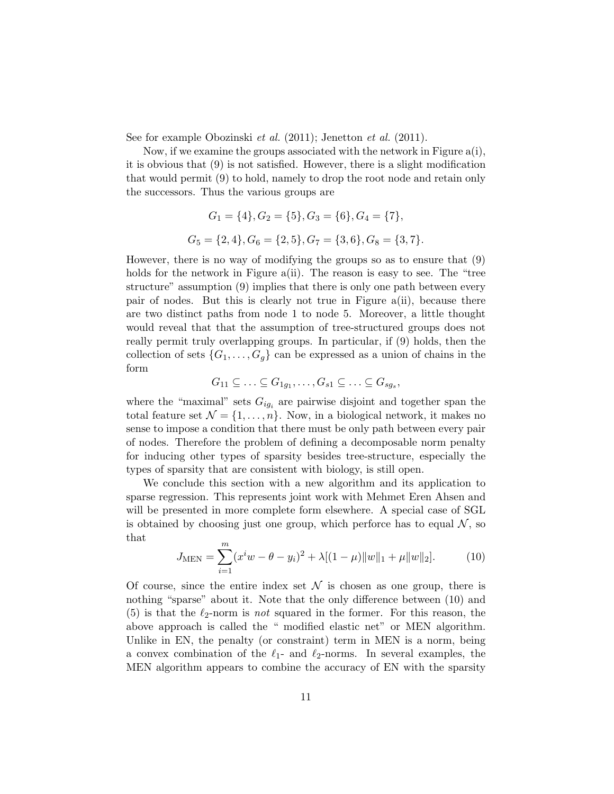See for example Obozinski et al. (2011); Jenetton et al. (2011).

Now, if we examine the groups associated with the network in Figure a(i), it is obvious that (9) is not satisfied. However, there is a slight modification that would permit (9) to hold, namely to drop the root node and retain only the successors. Thus the various groups are

$$
G_1 = \{4\}, G_2 = \{5\}, G_3 = \{6\}, G_4 = \{7\},
$$
  

$$
G_5 = \{2, 4\}, G_6 = \{2, 5\}, G_7 = \{3, 6\}, G_8 = \{3, 7\}.
$$

However, there is no way of modifying the groups so as to ensure that (9) holds for the network in Figure a(ii). The reason is easy to see. The "tree structure" assumption (9) implies that there is only one path between every pair of nodes. But this is clearly not true in Figure a(ii), because there are two distinct paths from node 1 to node 5. Moreover, a little thought would reveal that that the assumption of tree-structured groups does not really permit truly overlapping groups. In particular, if (9) holds, then the collection of sets  $\{G_1, \ldots, G_q\}$  can be expressed as a union of chains in the form

$$
G_{11} \subseteq \ldots \subseteq G_{1g_1}, \ldots, G_{s1} \subseteq \ldots \subseteq G_{sg_s},
$$

where the "maximal" sets  $G_{ig_i}$  are pairwise disjoint and together span the total feature set  $\mathcal{N} = \{1, \ldots, n\}$ . Now, in a biological network, it makes no sense to impose a condition that there must be only path between every pair of nodes. Therefore the problem of defining a decomposable norm penalty for inducing other types of sparsity besides tree-structure, especially the types of sparsity that are consistent with biology, is still open.

We conclude this section with a new algorithm and its application to sparse regression. This represents joint work with Mehmet Eren Ahsen and will be presented in more complete form elsewhere. A special case of SGL is obtained by choosing just one group, which perforce has to equal  $N$ , so that

$$
J_{\text{MEN}} = \sum_{i=1}^{m} (x^i w - \theta - y_i)^2 + \lambda [(1 - \mu) \|w\|_1 + \mu \|w\|_2]. \tag{10}
$$

Of course, since the entire index set  $\mathcal N$  is chosen as one group, there is nothing "sparse" about it. Note that the only difference between (10) and (5) is that the  $\ell_2$ -norm is not squared in the former. For this reason, the above approach is called the " modified elastic net" or MEN algorithm. Unlike in EN, the penalty (or constraint) term in MEN is a norm, being a convex combination of the  $\ell_1$ - and  $\ell_2$ -norms. In several examples, the MEN algorithm appears to combine the accuracy of EN with the sparsity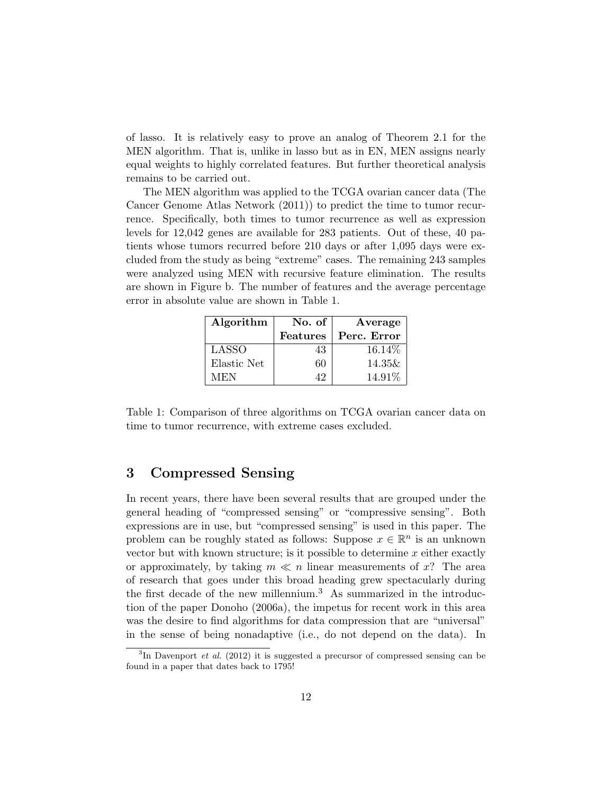of lasso. It is relatively easy to prove an analog of Theorem 2.1 for the MEN algorithm. That is, unlike in lasso but as in EN, MEN assigns nearly equal weights to highly correlated features. But further theoretical analysis remains to be carried out.

The MEN algorithm was applied to the TCGA ovarian cancer data (The Cancer Genome Atlas Network (2011)) to predict the time to tumor recurrence. Specifically, both times to tumor recurrence as well as expression levels for 12,042 genes are available for 283 patients. Out of these, 40 patients whose tumors recurred before 210 days or after 1,095 days were excluded from the study as being "extreme" cases. The remaining 243 samples were analyzed using MEN with recursive feature elimination. The results are shown in Figure b. The number of features and the average percentage error in absolute value are shown in Table 1.

| Algorithm   | No. of          | Average     |
|-------------|-----------------|-------------|
|             | <b>Features</b> | Perc. Error |
| LASSO       | 43              | 16.14\%     |
| Elastic Net | 60              | 14.35&      |
| MEN         | 49              | 14.91%      |

Table 1: Comparison of three algorithms on TCGA ovarian cancer data on time to tumor recurrence, with extreme cases excluded.

### 3 Compressed Sensing

In recent years, there have been several results that are grouped under the general heading of "compressed sensing" or "compressive sensing". Both expressions are in use, but "compressed sensing" is used in this paper. The problem can be roughly stated as follows: Suppose  $x \in \mathbb{R}^n$  is an unknown vector but with known structure; is it possible to determine  $x$  either exactly or approximately, by taking  $m \ll n$  linear measurements of x? The area of research that goes under this broad heading grew spectacularly during the first decade of the new millennium.<sup>3</sup> As summarized in the introduction of the paper Donoho (2006a), the impetus for recent work in this area was the desire to find algorithms for data compression that are "universal" in the sense of being nonadaptive (i.e., do not depend on the data). In

 ${}^{3}$ In Davenport *et al.* (2012) it is suggested a precursor of compressed sensing can be found in a paper that dates back to 1795!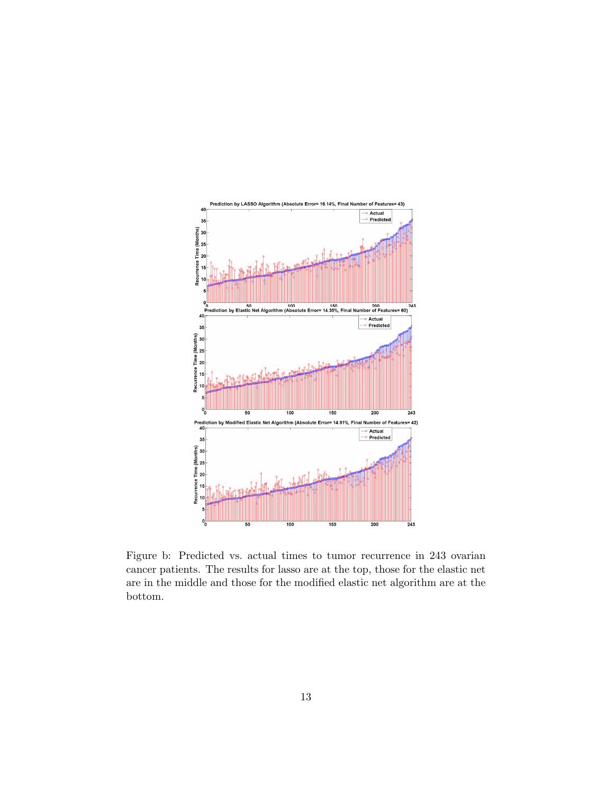

Figure b: Predicted vs. actual times to tumor recurrence in 243 ovarian cancer patients. The results for lasso are at the top, those for the elastic net are in the middle and those for the modified elastic net algorithm are at the bottom.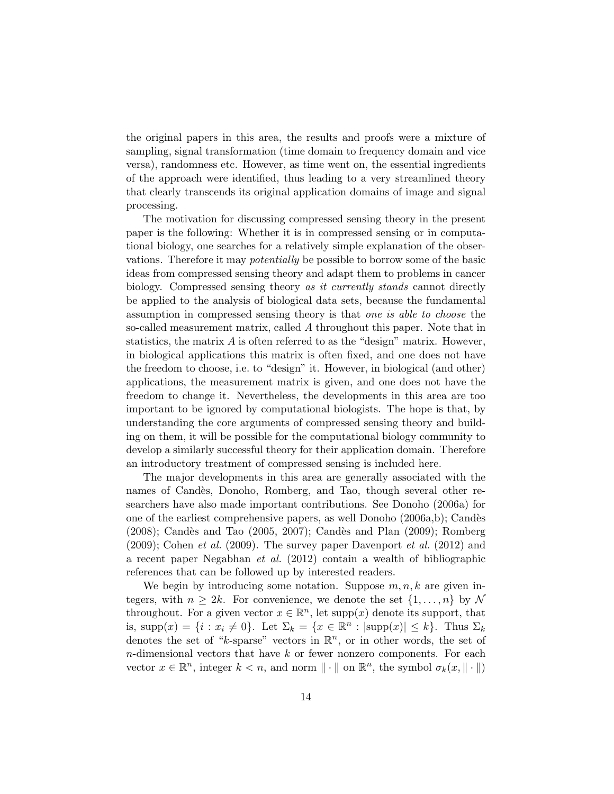the original papers in this area, the results and proofs were a mixture of sampling, signal transformation (time domain to frequency domain and vice versa), randomness etc. However, as time went on, the essential ingredients of the approach were identified, thus leading to a very streamlined theory that clearly transcends its original application domains of image and signal processing.

The motivation for discussing compressed sensing theory in the present paper is the following: Whether it is in compressed sensing or in computational biology, one searches for a relatively simple explanation of the observations. Therefore it may potentially be possible to borrow some of the basic ideas from compressed sensing theory and adapt them to problems in cancer biology. Compressed sensing theory as it currently stands cannot directly be applied to the analysis of biological data sets, because the fundamental assumption in compressed sensing theory is that one is able to choose the so-called measurement matrix, called A throughout this paper. Note that in statistics, the matrix  $A$  is often referred to as the "design" matrix. However, in biological applications this matrix is often fixed, and one does not have the freedom to choose, i.e. to "design" it. However, in biological (and other) applications, the measurement matrix is given, and one does not have the freedom to change it. Nevertheless, the developments in this area are too important to be ignored by computational biologists. The hope is that, by understanding the core arguments of compressed sensing theory and building on them, it will be possible for the computational biology community to develop a similarly successful theory for their application domain. Therefore an introductory treatment of compressed sensing is included here.

The major developments in this area are generally associated with the names of Candès, Donoho, Romberg, and Tao, though several other researchers have also made important contributions. See Donoho (2006a) for one of the earliest comprehensive papers, as well Donoho (2006a,b); Candès  $(2008)$ ; Candès and Tao  $(2005, 2007)$ ; Candès and Plan  $(2009)$ ; Romberg  $(2009)$ ; Cohen *et al.*  $(2009)$ . The survey paper Davenport *et al.*  $(2012)$  and a recent paper Negabhan et al. (2012) contain a wealth of bibliographic references that can be followed up by interested readers.

We begin by introducing some notation. Suppose  $m, n, k$  are given integers, with  $n \geq 2k$ . For convenience, we denote the set  $\{1, \ldots, n\}$  by N throughout. For a given vector  $x \in \mathbb{R}^n$ , let supp $(x)$  denote its support, that is, supp $(x) = \{i : x_i \neq 0\}$ . Let  $\Sigma_k = \{x \in \mathbb{R}^n : |\text{supp}(x)| \leq k\}$ . Thus  $\Sigma_k$ denotes the set of "k-sparse" vectors in  $\mathbb{R}^n$ , or in other words, the set of  $n$ -dimensional vectors that have  $k$  or fewer nonzero components. For each vector  $x \in \mathbb{R}^n$ , integer  $k < n$ , and norm  $\|\cdot\|$  on  $\mathbb{R}^n$ , the symbol  $\sigma_k(x, \|\cdot\|)$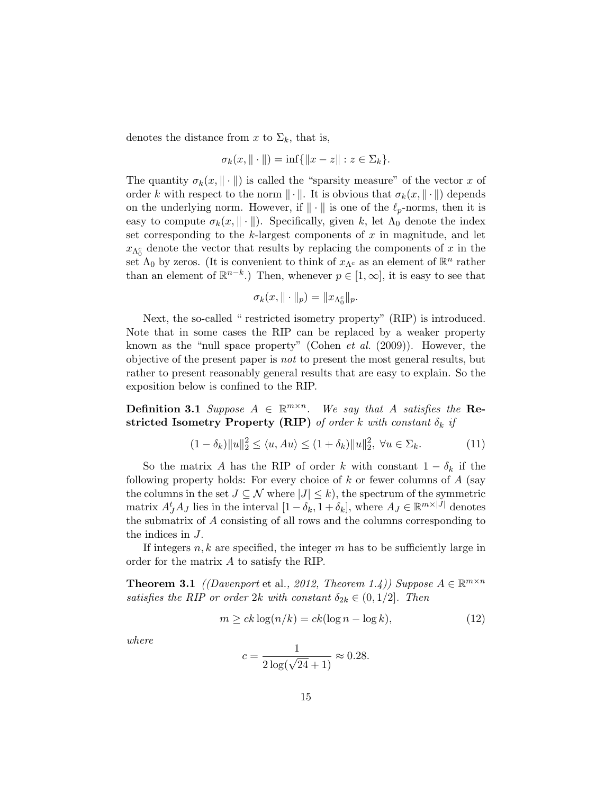denotes the distance from x to  $\Sigma_k$ , that is,

$$
\sigma_k(x, \| \cdot \|) = \inf \{ \|x - z\| : z \in \Sigma_k \}.
$$

The quantity  $\sigma_k(x, \|\cdot\|)$  is called the "sparsity measure" of the vector x of order k with respect to the norm  $\|\cdot\|$ . It is obvious that  $\sigma_k(x, \|\cdot\|)$  depends on the underlying norm. However, if  $\|\cdot\|$  is one of the  $\ell_p$ -norms, then it is easy to compute  $\sigma_k(x, \|\cdot\|)$ . Specifically, given k, let  $\Lambda_0$  denote the index set corresponding to the k-largest components of  $x$  in magnitude, and let  $x_{\Lambda_0^c}$  denote the vector that results by replacing the components of x in the set  $\Lambda_0$  by zeros. (It is convenient to think of  $x_{\Lambda^c}$  as an element of  $\mathbb{R}^n$  rather than an element of  $\mathbb{R}^{n-k}$ .) Then, whenever  $p \in [1,\infty]$ , it is easy to see that

$$
\sigma_k(x, \| \cdot \|_p) = \| x_{\Lambda_0^c} \|_p.
$$

Next, the so-called " restricted isometry property" (RIP) is introduced. Note that in some cases the RIP can be replaced by a weaker property known as the "null space property" (Cohen *et al.*  $(2009)$ ). However, the objective of the present paper is not to present the most general results, but rather to present reasonably general results that are easy to explain. So the exposition below is confined to the RIP.

**Definition 3.1** Suppose  $A \in \mathbb{R}^{m \times n}$ . We say that A satisfies the Restricted Isometry Property (RIP) of order k with constant  $\delta_k$  if

$$
(1 - \delta_k) \|u\|_2^2 \le \langle u, Au \rangle \le (1 + \delta_k) \|u\|_2^2, \ \forall u \in \Sigma_k. \tag{11}
$$

So the matrix A has the RIP of order k with constant  $1 - \delta_k$  if the following property holds: For every choice of  $k$  or fewer columns of  $A$  (say the columns in the set  $J \subseteq \mathcal{N}$  where  $|J| \leq k$ , the spectrum of the symmetric matrix  $A_J^t A_J$  lies in the interval  $[1 - \delta_k, 1 + \delta_k]$ , where  $A_J \in \mathbb{R}^{m \times |J|}$  denotes the submatrix of A consisting of all rows and the columns corresponding to the indices in J.

If integers  $n, k$  are specified, the integer  $m$  has to be sufficiently large in order for the matrix A to satisfy the RIP.

**Theorem 3.1** ((Davenport et al., 2012, Theorem 1.4)) Suppose  $A \in \mathbb{R}^{m \times n}$ satisfies the RIP or order 2k with constant  $\delta_{2k} \in (0, 1/2]$ . Then

$$
m \ge ck \log(n/k) = ck(\log n - \log k),\tag{12}
$$

where

$$
c = \frac{1}{2\log(\sqrt{24} + 1)} \approx 0.28.
$$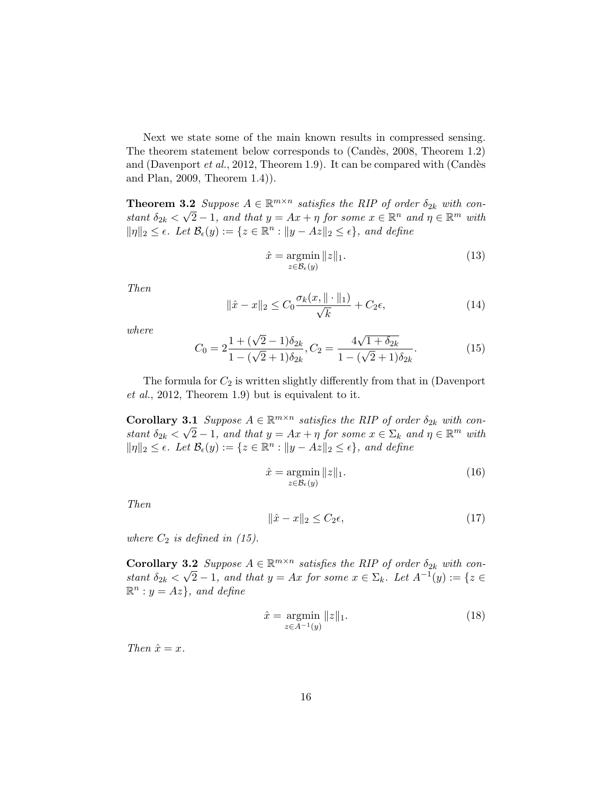Next we state some of the main known results in compressed sensing. The theorem statement below corresponds to (Candès, 2008, Theorem 1.2) and (Davenport et al., 2012, Theorem 1.9). It can be compared with (Candès and Plan, 2009, Theorem 1.4)).

**Theorem 3.2** Suppose  $A \in \mathbb{R}^{m \times n}$  satisfies the RIP of order  $\delta_{2k}$  with constant  $\delta_{2k} < \sqrt{2} - 1$ , and that  $y = Ax + \eta$  for some  $x \in \mathbb{R}^n$  and  $\eta \in \mathbb{R}^m$  with  $\|\eta\|_2 \leq \epsilon$ . Let  $\mathcal{B}_{\epsilon}(y) := \{z \in \mathbb{R}^n : \|y - Az\|_2 \leq \epsilon\}$ , and define

$$
\hat{x} = \underset{z \in \mathcal{B}_{\epsilon}(y)}{\operatorname{argmin}} \|z\|_1. \tag{13}
$$

Then

$$
\|\hat{x} - x\|_2 \le C_0 \frac{\sigma_k(x, \|\cdot\|_1)}{\sqrt{k}} + C_2 \epsilon,
$$
\n(14)

where

$$
C_0 = 2\frac{1 + (\sqrt{2} - 1)\delta_{2k}}{1 - (\sqrt{2} + 1)\delta_{2k}}, C_2 = \frac{4\sqrt{1 + \delta_{2k}}}{1 - (\sqrt{2} + 1)\delta_{2k}}.
$$
(15)

The formula for  $C_2$  is written slightly differently from that in (Davenport et al., 2012, Theorem 1.9) but is equivalent to it.

**Corollary 3.1** Suppose  $A \in \mathbb{R}^{m \times n}$  satisfies the RIP of order  $\delta_{2k}$  with constant  $\delta_{2k} < \sqrt{2} - 1$ , and that  $y = Ax + \eta$  for some  $x \in \Sigma_k$  and  $\eta \in \mathbb{R}^m$  with  $\|\eta\|_2 \leq \epsilon$ . Let  $\mathcal{B}_{\epsilon}(y) := \{z \in \mathbb{R}^n : \|y - Az\|_2 \leq \epsilon\}$ , and define

$$
\hat{x} = \underset{z \in \mathcal{B}_{\epsilon}(y)}{\operatorname{argmin}} \|z\|_1. \tag{16}
$$

Then

$$
\|\hat{x} - x\|_2 \le C_2 \epsilon,\tag{17}
$$

where  $C_2$  is defined in (15).

**Corollary 3.2** Suppose  $A \in \mathbb{R}^{m \times n}$  satisfies the RIP of order  $\delta_{2k}$  with constant  $\delta_{2k} < \sqrt{2} - 1$ , and that  $y = Ax$  for some  $x \in \Sigma_k$ . Let  $A^{-1}(y) := \{z \in$  $\mathbb{R}^n : y = Az$ , and define

$$
\hat{x} = \underset{z \in A^{-1}(y)}{\text{argmin}} \|z\|_1. \tag{18}
$$

Then  $\hat{x} = x$ .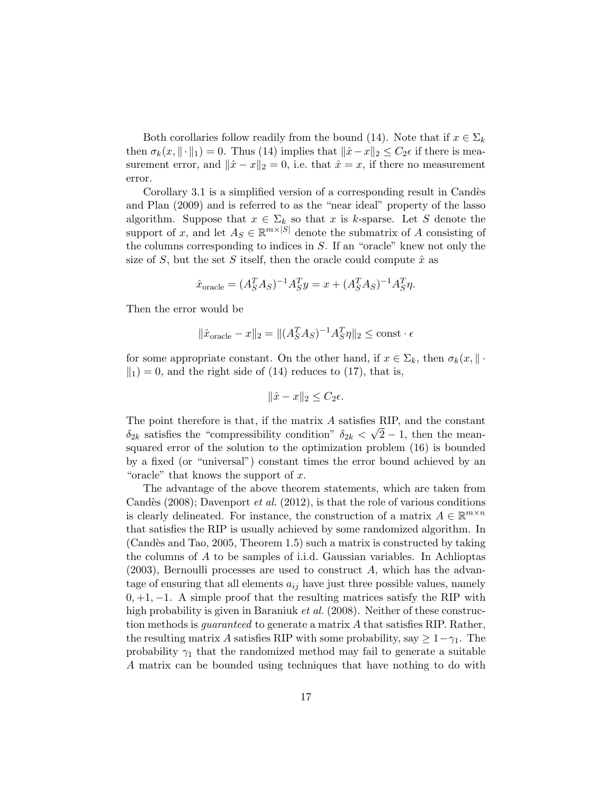Both corollaries follow readily from the bound (14). Note that if  $x \in \Sigma_k$ then  $\sigma_k(x, \|\cdot\|_1) = 0$ . Thus (14) implies that  $\|\hat{x}-x\|_2 \leq C_2 \epsilon$  if there is measurement error, and  $\|\hat{x} - x\|_2 = 0$ , i.e. that  $\hat{x} = x$ , if there no measurement error.

Corollary 3.1 is a simplified version of a corresponding result in Candès and Plan (2009) and is referred to as the "near ideal" property of the lasso algorithm. Suppose that  $x \in \Sigma_k$  so that x is k-sparse. Let S denote the support of x, and let  $A_S \in \mathbb{R}^{m \times |S|}$  denote the submatrix of A consisting of the columns corresponding to indices in S. If an "oracle" knew not only the size of S, but the set S itself, then the oracle could compute  $\hat{x}$  as

$$
\hat{x}_{\text{oracle}} = (A_S^T A_S)^{-1} A_S^T y = x + (A_S^T A_S)^{-1} A_S^T \eta.
$$

Then the error would be

$$
\|\hat{x}_{\text{oracle}} - x\|_2 = \|(A_S^T A_S)^{-1} A_S^T \eta\|_2 \le \text{const} \cdot \epsilon
$$

for some appropriate constant. On the other hand, if  $x \in \Sigma_k$ , then  $\sigma_k(x, \|\cdot\|)$  $\Vert$ <sub>1</sub> $) = 0$ , and the right side of (14) reduces to (17), that is,

$$
\|\hat{x} - x\|_2 \le C_2 \epsilon.
$$

The point therefore is that, if the matrix A satisfies RIP, and the constant  $\delta_{2k}$  satisfies the "compressibility condition"  $\delta_{2k} < \sqrt{2}-1$ , then the meansquared error of the solution to the optimization problem (16) is bounded by a fixed (or "universal") constant times the error bound achieved by an "oracle" that knows the support of  $x$ .

The advantage of the above theorem statements, which are taken from Candès (2008); Davenport *et al.* (2012), is that the role of various conditions is clearly delineated. For instance, the construction of a matrix  $A \in \mathbb{R}^{m \times n}$ that satisfies the RIP is usually achieved by some randomized algorithm. In (Candès and Tao, 2005, Theorem 1.5) such a matrix is constructed by taking the columns of A to be samples of i.i.d. Gaussian variables. In Achlioptas (2003), Bernoulli processes are used to construct A, which has the advantage of ensuring that all elements  $a_{ij}$  have just three possible values, namely  $0, +1, -1$ . A simple proof that the resulting matrices satisfy the RIP with high probability is given in Baraniuk *et al.* (2008). Neither of these construction methods is *quaranteed* to generate a matrix A that satisfies RIP. Rather, the resulting matrix A satisfies RIP with some probability, say  $\geq 1-\gamma_1$ . The probability  $\gamma_1$  that the randomized method may fail to generate a suitable A matrix can be bounded using techniques that have nothing to do with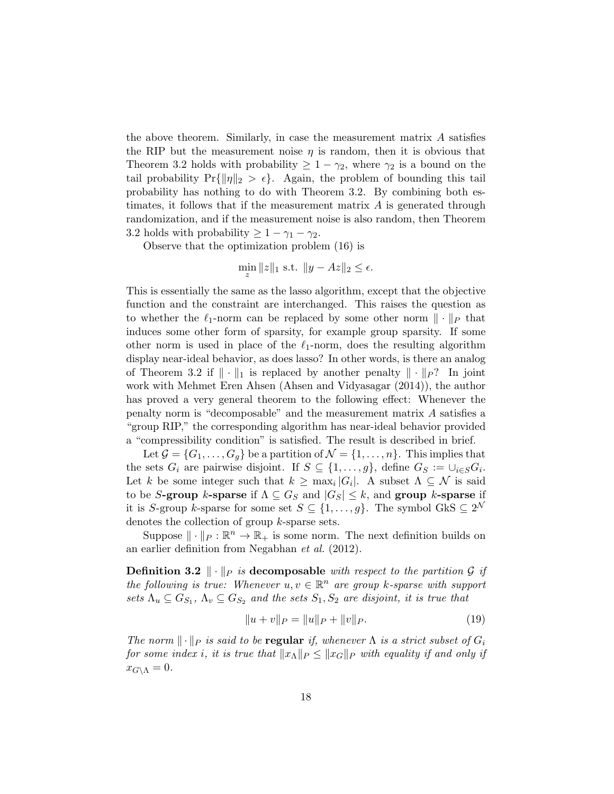the above theorem. Similarly, in case the measurement matrix  $A$  satisfies the RIP but the measurement noise  $\eta$  is random, then it is obvious that Theorem 3.2 holds with probability  $\geq 1 - \gamma_2$ , where  $\gamma_2$  is a bound on the tail probability  $Pr{||\eta||_2 > \epsilon}$ . Again, the problem of bounding this tail probability has nothing to do with Theorem 3.2. By combining both estimates, it follows that if the measurement matrix  $A$  is generated through randomization, and if the measurement noise is also random, then Theorem 3.2 holds with probability  $\geq 1 - \gamma_1 - \gamma_2$ .

Observe that the optimization problem (16) is

$$
\min_{z} \|z\|_1 \text{ s.t. } \|y - Az\|_2 \le \epsilon.
$$

This is essentially the same as the lasso algorithm, except that the objective function and the constraint are interchanged. This raises the question as to whether the  $\ell_1$ -norm can be replaced by some other norm  $\|\cdot\|_P$  that induces some other form of sparsity, for example group sparsity. If some other norm is used in place of the  $\ell_1$ -norm, does the resulting algorithm display near-ideal behavior, as does lasso? In other words, is there an analog of Theorem 3.2 if  $\|\cdot\|_1$  is replaced by another penalty  $\|\cdot\|_P$ ? In joint work with Mehmet Eren Ahsen (Ahsen and Vidyasagar (2014)), the author has proved a very general theorem to the following effect: Whenever the penalty norm is "decomposable" and the measurement matrix A satisfies a "group RIP," the corresponding algorithm has near-ideal behavior provided a "compressibility condition" is satisfied. The result is described in brief.

Let  $\mathcal{G} = \{G_1, \ldots, G_g\}$  be a partition of  $\mathcal{N} = \{1, \ldots, n\}$ . This implies that the sets  $G_i$  are pairwise disjoint. If  $S \subseteq \{1, \ldots, g\}$ , define  $G_S := \cup_{i \in S} G_i$ . Let k be some integer such that  $k \geq \max_i |G_i|$ . A subset  $\Lambda \subseteq \mathcal{N}$  is said to be S-group k-sparse if  $\Lambda \subseteq G_S$  and  $|G_S| \leq k$ , and group k-sparse if it is S-group k-sparse for some set  $S \subseteq \{1, \ldots, g\}$ . The symbol GkS  $\subseteq 2^{\mathcal{N}}$ denotes the collection of group k-sparse sets.

Suppose  $\|\cdot\|_P : \mathbb{R}^n \to \mathbb{R}_+$  is some norm. The next definition builds on an earlier definition from Negabhan et al. (2012).

**Definition 3.2**  $\|\cdot\|_P$  is decomposable with respect to the partition G if the following is true: Whenever  $u, v \in \mathbb{R}^n$  are group k-sparse with support sets  $\Lambda_u \subseteq G_{S_1}$ ,  $\Lambda_v \subseteq G_{S_2}$  and the sets  $S_1, S_2$  are disjoint, it is true that

$$
||u + v||_P = ||u||_P + ||v||_P.
$$
\n(19)

The norm  $\|\cdot\|_P$  is said to be regular if, whenever  $\Lambda$  is a strict subset of  $G_i$ for some index i, it is true that  $||x_\Lambda||_P \leq ||x_G||_P$  with equality if and only if  $x_{G\setminus\Lambda}=0.$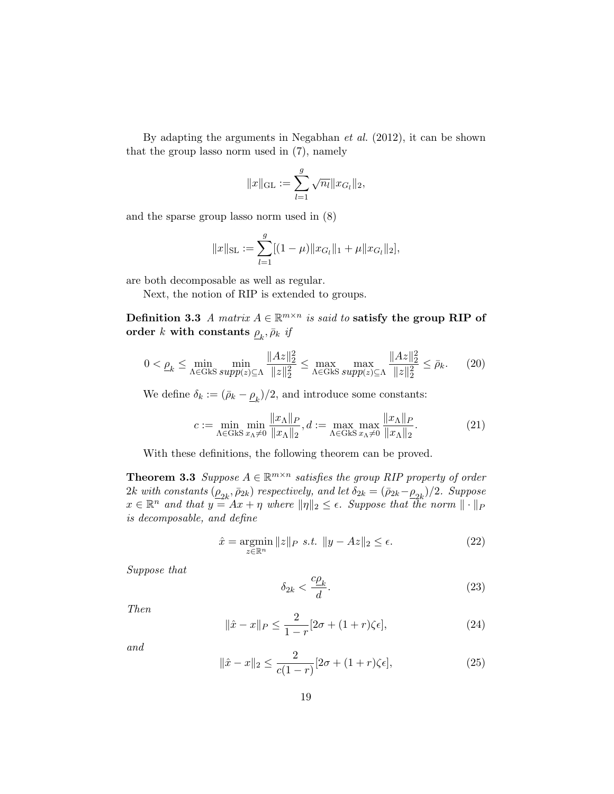By adapting the arguments in Negabhan et al. (2012), it can be shown that the group lasso norm used in (7), namely

$$
||x||_{\text{GL}} := \sum_{l=1}^{g} \sqrt{n_l} ||x_{G_l}||_2,
$$

and the sparse group lasso norm used in (8)

$$
||x||_{\text{SL}} := \sum_{l=1}^{g} [(1 - \mu)||x_{G_l}||_1 + \mu ||x_{G_l}||_2],
$$

are both decomposable as well as regular.

Next, the notion of RIP is extended to groups.

Definition 3.3 A matrix  $A \in \mathbb{R}^{m \times n}$  is said to satisfy the group RIP of  $\operatorname{order\;} k$  with constants  $\varrho_{k},\bar{\rho}_{k}\;{\it if}$ 

$$
0 < \underline{\rho}_k \le \min_{\Lambda \in \text{Gks} \, \text{supp}(z) \subseteq \Lambda} \frac{\|Az\|_2^2}{\|z\|_2^2} \le \max_{\Lambda \in \text{Gks} \, \text{supp}(z) \subseteq \Lambda} \frac{\|Az\|_2^2}{\|z\|_2^2} \le \bar{\rho}_k. \tag{20}
$$

We define  $\delta_k := (\bar{\rho}_k - \underline{\rho}_k)/2$ , and introduce some constants:

$$
c := \min_{\Lambda \in \text{GkS}} \min_{x_{\Lambda} \neq 0} \frac{\|x_{\Lambda}\|_{P}}{\|x_{\Lambda}\|_{2}}, d := \max_{\Lambda \in \text{GkS}} \max_{x_{\Lambda} \neq 0} \frac{\|x_{\Lambda}\|_{P}}{\|x_{\Lambda}\|_{2}}.
$$
 (21)

With these definitions, the following theorem can be proved.

**Theorem 3.3** Suppose  $A \in \mathbb{R}^{m \times n}$  satisfies the group RIP property of order  $2k$  with constants  $(\underline{\rho}_{2k}, \bar{\rho}_{2k})$  respectively, and let  $\delta_{2k} = (\bar{\rho}_{2k} - \underline{\rho}_{2k})/2$ . Suppose  $x \in \mathbb{R}^n$  and that  $y = Ax + \eta$  where  $\|\eta\|_2 \leq \epsilon$ . Suppose that the norm  $\|\cdot\|_F$ is decomposable, and define

$$
\hat{x} = \underset{z \in \mathbb{R}^n}{\operatorname{argmin}} \|z\|_P \ \text{s.t.} \ \|y - Az\|_2 \le \epsilon. \tag{22}
$$

Suppose that

$$
\delta_{2k} < \frac{c\rho_k}{d}.\tag{23}
$$

Then

$$
\|\hat{x} - x\|_{P} \le \frac{2}{1 - r} [2\sigma + (1 + r)\zeta \epsilon],
$$
\n(24)

and

$$
\|\hat{x} - x\|_2 \le \frac{2}{c(1-r)} [2\sigma + (1+r)\zeta \epsilon],\tag{25}
$$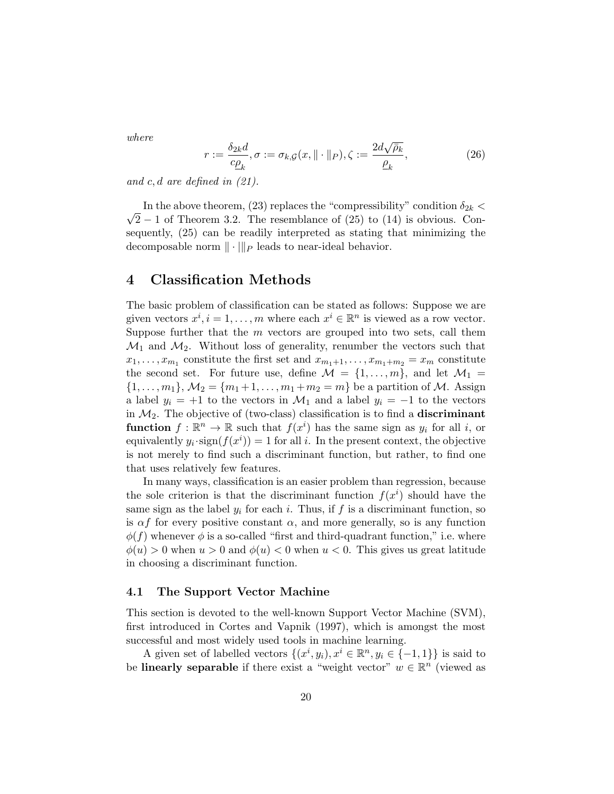where

$$
r := \frac{\delta_{2k}d}{c\rho_k}, \sigma := \sigma_{k,\mathcal{G}}(x, \|\cdot\|_P), \zeta := \frac{2d\sqrt{\bar{\rho}_k}}{\rho_k},\tag{26}
$$

and c, d are defined in  $(21)$ .

√ In the above theorem, (23) replaces the "compressibility" condition  $\delta_{2k}$  <  $2-1$  of Theorem 3.2. The resemblance of  $(25)$  to  $(14)$  is obvious. Consequently, (25) can be readily interpreted as stating that minimizing the decomposable norm  $\|\cdot\|_P$  leads to near-ideal behavior.

### 4 Classification Methods

The basic problem of classification can be stated as follows: Suppose we are given vectors  $x^i, i = 1, ..., m$  where each  $x^i \in \mathbb{R}^n$  is viewed as a row vector. Suppose further that the  $m$  vectors are grouped into two sets, call them  $\mathcal{M}_1$  and  $\mathcal{M}_2$ . Without loss of generality, renumber the vectors such that  $x_1, \ldots, x_{m_1}$  constitute the first set and  $x_{m_1+1}, \ldots, x_{m_1+m_2} = x_m$  constitute the second set. For future use, define  $\mathcal{M} = \{1, \ldots, m\}$ , and let  $\mathcal{M}_1 =$  $\{1, \ldots, m_1\}, \mathcal{M}_2 = \{m_1 + 1, \ldots, m_1 + m_2 = m\}$  be a partition of M. Assign a label  $y_i = +1$  to the vectors in  $\mathcal{M}_1$  and a label  $y_i = -1$  to the vectors in  $\mathcal{M}_2$ . The objective of (two-class) classification is to find a **discriminant function**  $f: \mathbb{R}^n \to \mathbb{R}$  such that  $f(x^i)$  has the same sign as  $y_i$  for all i, or equivalently  $y_i \cdot \text{sign}(f(x^i)) = 1$  for all i. In the present context, the objective is not merely to find such a discriminant function, but rather, to find one that uses relatively few features.

In many ways, classification is an easier problem than regression, because the sole criterion is that the discriminant function  $f(x^i)$  should have the same sign as the label  $y_i$  for each i. Thus, if f is a discriminant function, so is  $\alpha f$  for every positive constant  $\alpha$ , and more generally, so is any function  $\phi(f)$  whenever  $\phi$  is a so-called "first and third-quadrant function," i.e. where  $\phi(u) > 0$  when  $u > 0$  and  $\phi(u) < 0$  when  $u < 0$ . This gives us great latitude in choosing a discriminant function.

#### 4.1 The Support Vector Machine

This section is devoted to the well-known Support Vector Machine (SVM), first introduced in Cortes and Vapnik (1997), which is amongst the most successful and most widely used tools in machine learning.

A given set of labelled vectors  $\{(x^i, y_i), x^i \in \mathbb{R}^n, y_i \in \{-1, 1\}\}\)$  is said to be **linearly separable** if there exist a "weight vector"  $w \in \mathbb{R}^n$  (viewed as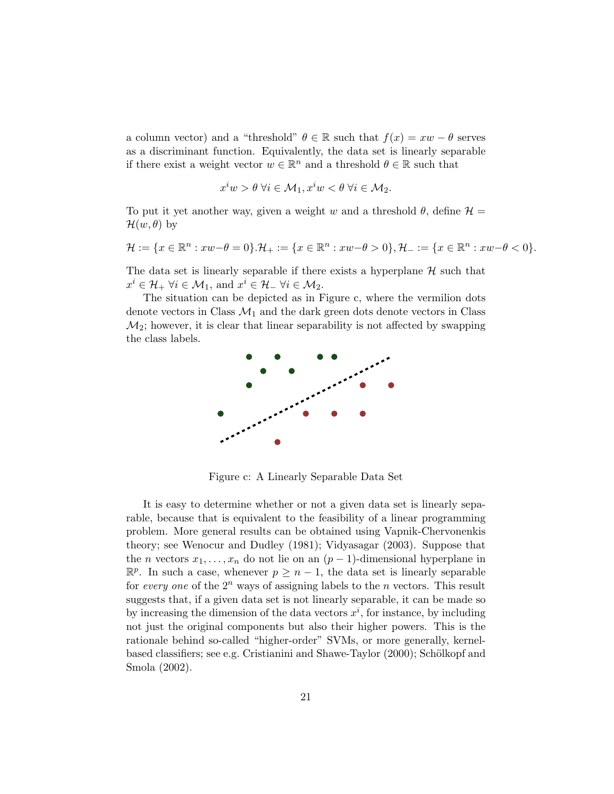a column vector) and a "threshold"  $\theta \in \mathbb{R}$  such that  $f(x) = xw - \theta$  serves as a discriminant function. Equivalently, the data set is linearly separable if there exist a weight vector  $w \in \mathbb{R}^n$  and a threshold  $\theta \in \mathbb{R}$  such that

$$
x^iw > \theta \; \forall i \in \mathcal{M}_1, x^iw < \theta \; \forall i \in \mathcal{M}_2.
$$

To put it yet another way, given a weight w and a threshold  $\theta$ , define  $\mathcal{H} =$  $\mathcal{H}(w,\theta)$  by

$$
\mathcal{H}:=\{x\in\mathbb{R}^n: xw-\theta=0\}.\mathcal{H}_+:=\{x\in\mathbb{R}^n: xw-\theta>0\}, \mathcal{H}_-:=\{x\in\mathbb{R}^n: xw-\theta<0\}.
$$

The data set is linearly separable if there exists a hyperplane  $H$  such that  $x^i \in \mathcal{H}_+ \ \forall i \in \mathcal{M}_1$ , and  $x^i \in \mathcal{H}_- \ \forall i \in \mathcal{M}_2$ .

The situation can be depicted as in Figure c, where the vermilion dots denote vectors in Class  $\mathcal{M}_1$  and the dark green dots denote vectors in Class  $\mathcal{M}_2$ ; however, it is clear that linear separability is not affected by swapping the class labels.



Figure c: A Linearly Separable Data Set

It is easy to determine whether or not a given data set is linearly separable, because that is equivalent to the feasibility of a linear programming problem. More general results can be obtained using Vapnik-Chervonenkis theory; see Wenocur and Dudley (1981); Vidyasagar (2003). Suppose that the *n* vectors  $x_1, \ldots, x_n$  do not lie on an  $(p-1)$ -dimensional hyperplane in  $\mathbb{R}^p$ . In such a case, whenever  $p \geq n-1$ , the data set is linearly separable for every one of the  $2^n$  ways of assigning labels to the *n* vectors. This result suggests that, if a given data set is not linearly separable, it can be made so by increasing the dimension of the data vectors  $x^i$ , for instance, by including not just the original components but also their higher powers. This is the rationale behind so-called "higher-order" SVMs, or more generally, kernelbased classifiers; see e.g. Cristianini and Shawe-Taylor (2000); Schölkopf and Smola (2002).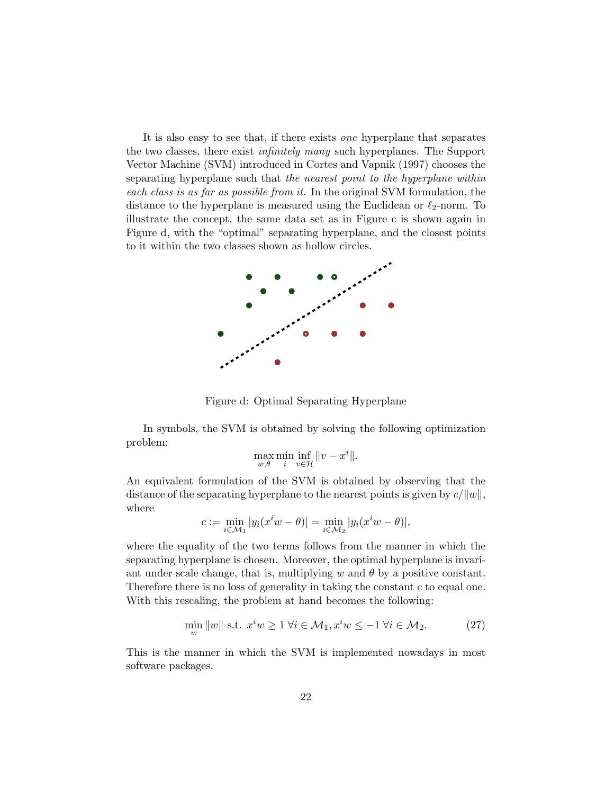It is also easy to see that, if there exists one hyperplane that separates the two classes, there exist *infinitely many* such hyperplanes. The Support Vector Machine (SVM) introduced in Cortes and Vapnik (1997) chooses the separating hyperplane such that the nearest point to the hyperplane within each class is as far as possible from it. In the original SVM formulation, the distance to the hyperplane is measured using the Euclidean or  $\ell_2$ -norm. To illustrate the concept, the same data set as in Figure c is shown again in Figure d, with the "optimal" separating hyperplane, and the closest points to it within the two classes shown as hollow circles.



Figure d: Optimal Separating Hyperplane

In symbols, the SVM is obtained by solving the following optimization problem:

$$
\max_{w,\theta} \min_{i} \inf_{v \in \mathcal{H}} ||v - x^i||.
$$

An equivalent formulation of the SVM is obtained by observing that the distance of the separating hyperplane to the nearest points is given by  $c/||w||$ , where

$$
c := \min_{i \in \mathcal{M}_1} |y_i(x^i w - \theta)| = \min_{i \in \mathcal{M}_2} |y_i(x^i w - \theta)|,
$$

where the equality of the two terms follows from the manner in which the separating hyperplane is chosen. Moreover, the optimal hyperplane is invariant under scale change, that is, multiplying w and  $\theta$  by a positive constant. Therefore there is no loss of generality in taking the constant c to equal one. With this rescaling, the problem at hand becomes the following:

$$
\min_{w} \|w\| \text{ s.t. } x^i w \ge 1 \ \forall i \in \mathcal{M}_1, x^i w \le -1 \ \forall i \in \mathcal{M}_2. \tag{27}
$$

This is the manner in which the SVM is implemented nowadays in most software packages.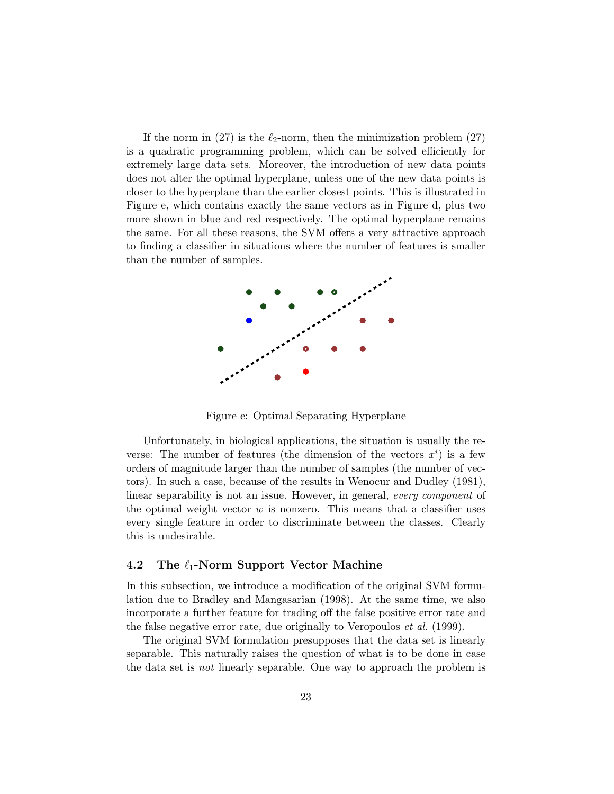If the norm in (27) is the  $\ell_2$ -norm, then the minimization problem (27) is a quadratic programming problem, which can be solved efficiently for extremely large data sets. Moreover, the introduction of new data points does not alter the optimal hyperplane, unless one of the new data points is closer to the hyperplane than the earlier closest points. This is illustrated in Figure e, which contains exactly the same vectors as in Figure d, plus two more shown in blue and red respectively. The optimal hyperplane remains the same. For all these reasons, the SVM offers a very attractive approach to finding a classifier in situations where the number of features is smaller than the number of samples.



Figure e: Optimal Separating Hyperplane

Unfortunately, in biological applications, the situation is usually the reverse: The number of features (the dimension of the vectors  $x^i$ ) is a few orders of magnitude larger than the number of samples (the number of vectors). In such a case, because of the results in Wenocur and Dudley (1981), linear separability is not an issue. However, in general, every component of the optimal weight vector  $w$  is nonzero. This means that a classifier uses every single feature in order to discriminate between the classes. Clearly this is undesirable.

### 4.2 The  $\ell_1$ -Norm Support Vector Machine

In this subsection, we introduce a modification of the original SVM formulation due to Bradley and Mangasarian (1998). At the same time, we also incorporate a further feature for trading off the false positive error rate and the false negative error rate, due originally to Veropoulos et al. (1999).

The original SVM formulation presupposes that the data set is linearly separable. This naturally raises the question of what is to be done in case the data set is not linearly separable. One way to approach the problem is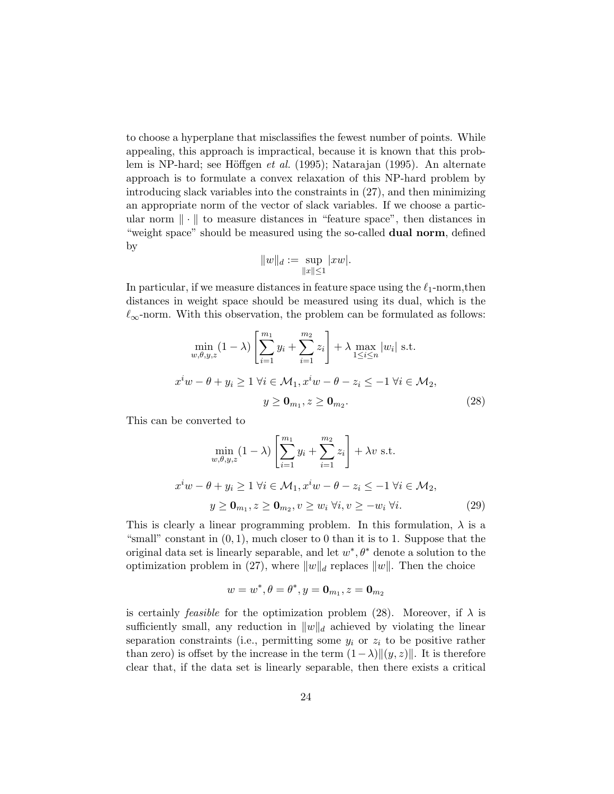to choose a hyperplane that misclassifies the fewest number of points. While appealing, this approach is impractical, because it is known that this problem is NP-hard; see Höffgen et al. (1995); Natarajan (1995). An alternate approach is to formulate a convex relaxation of this NP-hard problem by introducing slack variables into the constraints in (27), and then minimizing an appropriate norm of the vector of slack variables. If we choose a particular norm  $\|\cdot\|$  to measure distances in "feature space", then distances in "weight space" should be measured using the so-called **dual norm**, defined by

$$
||w||_d := \sup_{||x|| \leq 1} |xw|.
$$

In particular, if we measure distances in feature space using the  $\ell_1$ -norm,then distances in weight space should be measured using its dual, which is the  $\ell_{\infty}$ -norm. With this observation, the problem can be formulated as follows:

$$
\min_{w,\theta,y,z} (1-\lambda) \left[ \sum_{i=1}^{m_1} y_i + \sum_{i=1}^{m_2} z_i \right] + \lambda \max_{1 \le i \le n} |w_i| \text{ s.t.}
$$
  

$$
x^i w - \theta + y_i \ge 1 \ \forall i \in \mathcal{M}_1, x^i w - \theta - z_i \le -1 \ \forall i \in \mathcal{M}_2,
$$
  

$$
y \ge \mathbf{0}_{m_1}, z \ge \mathbf{0}_{m_2}.
$$
 (28)

This can be converted to

$$
\min_{w,\theta,y,z} (1-\lambda) \left[ \sum_{i=1}^{m_1} y_i + \sum_{i=1}^{m_2} z_i \right] + \lambda v \text{ s.t.}
$$
  

$$
x^i w - \theta + y_i \ge 1 \ \forall i \in \mathcal{M}_1, x^i w - \theta - z_i \le -1 \ \forall i \in \mathcal{M}_2,
$$
  

$$
y \ge \mathbf{0}_{m_1}, z \ge \mathbf{0}_{m_2}, v \ge w_i \ \forall i, v \ge -w_i \ \forall i.
$$
 (29)

This is clearly a linear programming problem. In this formulation,  $\lambda$  is a "small" constant in  $(0, 1)$ , much closer to 0 than it is to 1. Suppose that the original data set is linearly separable, and let  $w^*, \theta^*$  denote a solution to the optimization problem in (27), where  $||w||_d$  replaces  $||w||$ . Then the choice

$$
w=w^*,\theta=\theta^*,y=\textbf{0}_{m_1},z=\textbf{0}_{m_2}
$$

is certainly *feasible* for the optimization problem (28). Moreover, if  $\lambda$  is sufficiently small, any reduction in  $||w||_d$  achieved by violating the linear separation constraints (i.e., permitting some  $y_i$  or  $z_i$  to be positive rather than zero) is offset by the increase in the term  $(1-\lambda)$  $\|(y, z)\|$ . It is therefore clear that, if the data set is linearly separable, then there exists a critical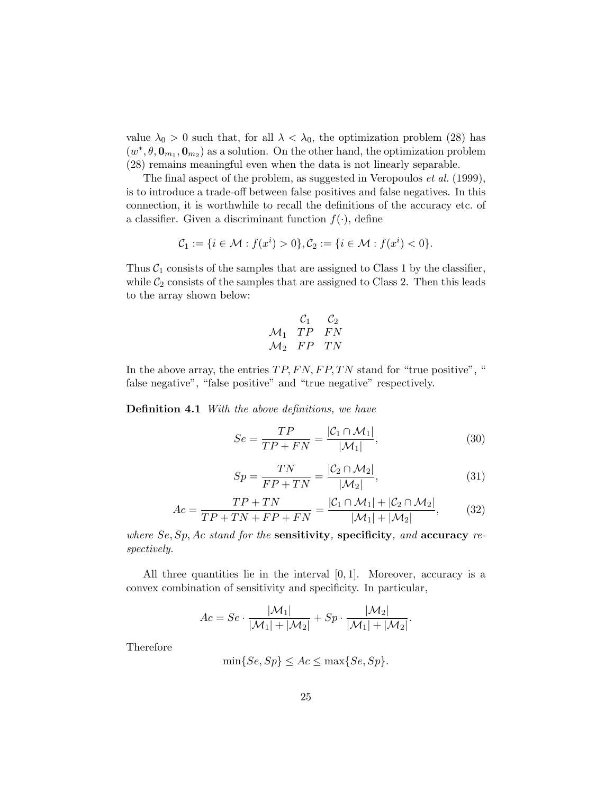value  $\lambda_0 > 0$  such that, for all  $\lambda < \lambda_0$ , the optimization problem (28) has  $(w^*, \theta, \mathbf{0}_{m_1}, \mathbf{0}_{m_2})$  as a solution. On the other hand, the optimization problem (28) remains meaningful even when the data is not linearly separable.

The final aspect of the problem, as suggested in Veropoulos *et al.* (1999), is to introduce a trade-off between false positives and false negatives. In this connection, it is worthwhile to recall the definitions of the accuracy etc. of a classifier. Given a discriminant function  $f(\cdot)$ , define

$$
C_1 := \{ i \in \mathcal{M} : f(x^i) > 0 \}, C_2 := \{ i \in \mathcal{M} : f(x^i) < 0 \}.
$$

Thus  $C_1$  consists of the samples that are assigned to Class 1 by the classifier, while  $C_2$  consists of the samples that are assigned to Class 2. Then this leads to the array shown below:

$$
\begin{array}{cc}\n & \mathcal{C}_1 & \mathcal{C}_2 \\
\mathcal{M}_1 & TP & FN \\
\mathcal{M}_2 & FP & TN\n\end{array}
$$

In the above array, the entries  $TP, FN, FP, TN$  stand for "true positive", " false negative", "false positive" and "true negative" respectively.

**Definition 4.1** With the above definitions, we have

$$
Se = \frac{TP}{TP + FN} = \frac{|C_1 \cap \mathcal{M}_1|}{|\mathcal{M}_1|},\tag{30}
$$

$$
Sp = \frac{TN}{FP + TN} = \frac{|\mathcal{C}_2 \cap \mathcal{M}_2|}{|\mathcal{M}_2|},\tag{31}
$$

$$
Ac = \frac{TP + TN}{TP + TN + FP + FN} = \frac{|C_1 \cap M_1| + |C_2 \cap M_2|}{|M_1| + |M_2|},\tag{32}
$$

where  $Se$ ,  $Sp$ ,  $Ac$  stand for the sensitivity, specificity, and accuracy respectively.

All three quantities lie in the interval  $[0, 1]$ . Moreover, accuracy is a convex combination of sensitivity and specificity. In particular,

$$
Ac = Se \cdot \frac{|\mathcal{M}_1|}{|\mathcal{M}_1| + |\mathcal{M}_2|} + Sp \cdot \frac{|\mathcal{M}_2|}{|\mathcal{M}_1| + |\mathcal{M}_2|}.
$$

Therefore

$$
\min\{Se, Sp\} \le Ac \le \max\{Se, Sp\}.
$$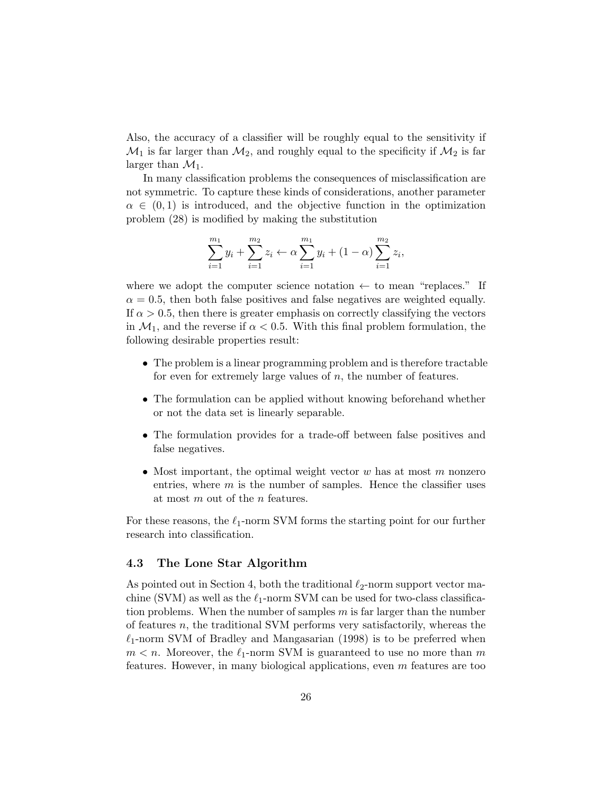Also, the accuracy of a classifier will be roughly equal to the sensitivity if  $\mathcal{M}_1$  is far larger than  $\mathcal{M}_2$ , and roughly equal to the specificity if  $\mathcal{M}_2$  is far larger than  $\mathcal{M}_1$ .

In many classification problems the consequences of misclassification are not symmetric. To capture these kinds of considerations, another parameter  $\alpha \in (0,1)$  is introduced, and the objective function in the optimization problem (28) is modified by making the substitution

$$
\sum_{i=1}^{m_1} y_i + \sum_{i=1}^{m_2} z_i \leftarrow \alpha \sum_{i=1}^{m_1} y_i + (1 - \alpha) \sum_{i=1}^{m_2} z_i,
$$

where we adopt the computer science notation  $\leftarrow$  to mean "replaces." If  $\alpha = 0.5$ , then both false positives and false negatives are weighted equally. If  $\alpha > 0.5$ , then there is greater emphasis on correctly classifying the vectors in  $\mathcal{M}_1$ , and the reverse if  $\alpha < 0.5$ . With this final problem formulation, the following desirable properties result:

- The problem is a linear programming problem and is therefore tractable for even for extremely large values of  $n$ , the number of features.
- The formulation can be applied without knowing beforehand whether or not the data set is linearly separable.
- The formulation provides for a trade-off between false positives and false negatives.
- Most important, the optimal weight vector  $w$  has at most  $m$  nonzero entries, where  $m$  is the number of samples. Hence the classifier uses at most m out of the n features.

For these reasons, the  $\ell_1$ -norm SVM forms the starting point for our further research into classification.

#### 4.3 The Lone Star Algorithm

As pointed out in Section 4, both the traditional  $\ell_2$ -norm support vector machine (SVM) as well as the  $\ell_1$ -norm SVM can be used for two-class classification problems. When the number of samples  $m$  is far larger than the number of features n, the traditional SVM performs very satisfactorily, whereas the  $\ell_1$ -norm SVM of Bradley and Mangasarian (1998) is to be preferred when  $m < n$ . Moreover, the  $\ell_1$ -norm SVM is guaranteed to use no more than m features. However, in many biological applications, even  $m$  features are too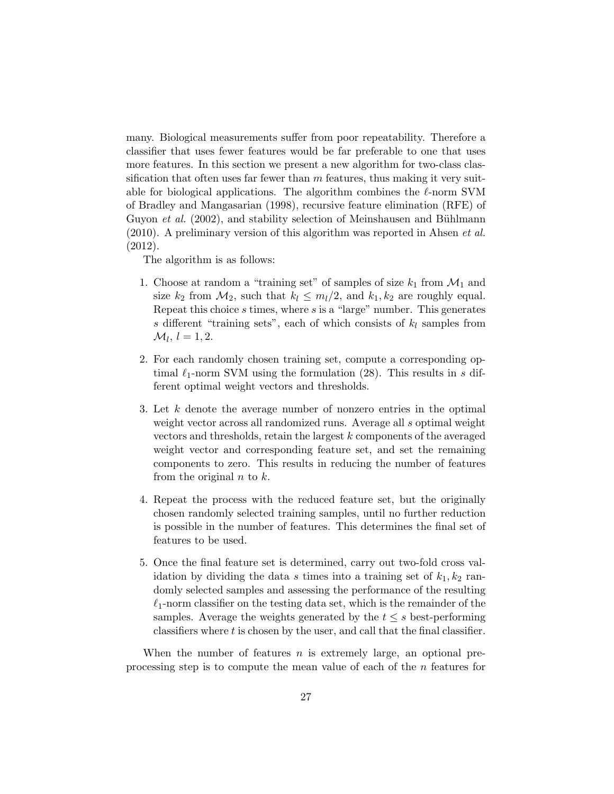many. Biological measurements suffer from poor repeatability. Therefore a classifier that uses fewer features would be far preferable to one that uses more features. In this section we present a new algorithm for two-class classification that often uses far fewer than  $m$  features, thus making it very suitable for biological applications. The algorithm combines the  $\ell$ -norm SVM of Bradley and Mangasarian (1998), recursive feature elimination (RFE) of Guyon *et al.* (2002), and stability selection of Meinshausen and Bühlmann  $(2010)$ . A preliminary version of this algorithm was reported in Ahsen *et al.* (2012).

The algorithm is as follows:

- 1. Choose at random a "training set" of samples of size  $k_1$  from  $\mathcal{M}_1$  and size  $k_2$  from  $\mathcal{M}_2$ , such that  $k_l \leq m_l/2$ , and  $k_1, k_2$  are roughly equal. Repeat this choice s times, where s is a "large" number. This generates s different "training sets", each of which consists of  $k_l$  samples from  $\mathcal{M}_l, l = 1, 2.$
- 2. For each randomly chosen training set, compute a corresponding optimal  $\ell_1$ -norm SVM using the formulation (28). This results in s different optimal weight vectors and thresholds.
- 3. Let k denote the average number of nonzero entries in the optimal weight vector across all randomized runs. Average all s optimal weight vectors and thresholds, retain the largest k components of the averaged weight vector and corresponding feature set, and set the remaining components to zero. This results in reducing the number of features from the original  $n$  to  $k$ .
- 4. Repeat the process with the reduced feature set, but the originally chosen randomly selected training samples, until no further reduction is possible in the number of features. This determines the final set of features to be used.
- 5. Once the final feature set is determined, carry out two-fold cross validation by dividing the data s times into a training set of  $k_1, k_2$  randomly selected samples and assessing the performance of the resulting  $\ell_1$ -norm classifier on the testing data set, which is the remainder of the samples. Average the weights generated by the  $t \leq s$  best-performing classifiers where t is chosen by the user, and call that the final classifier.

When the number of features  $n$  is extremely large, an optional preprocessing step is to compute the mean value of each of the n features for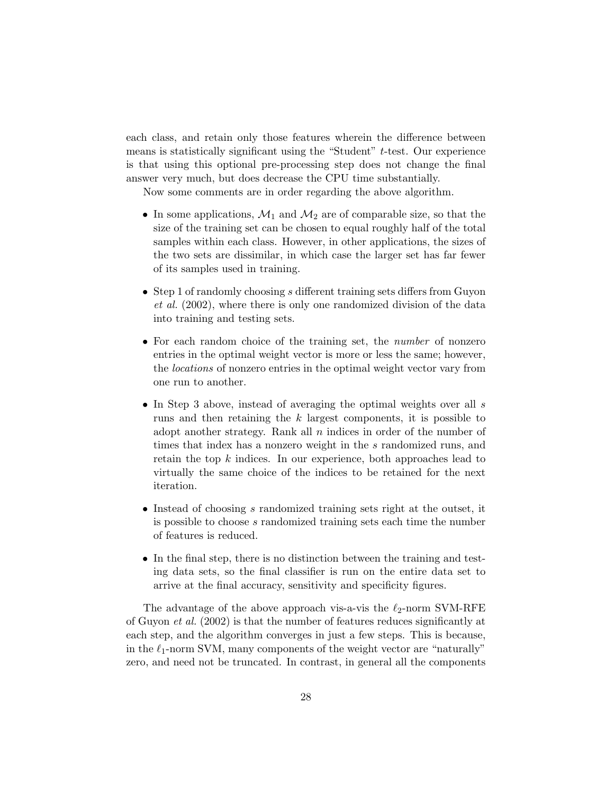each class, and retain only those features wherein the difference between means is statistically significant using the "Student" t-test. Our experience is that using this optional pre-processing step does not change the final answer very much, but does decrease the CPU time substantially.

Now some comments are in order regarding the above algorithm.

- In some applications,  $\mathcal{M}_1$  and  $\mathcal{M}_2$  are of comparable size, so that the size of the training set can be chosen to equal roughly half of the total samples within each class. However, in other applications, the sizes of the two sets are dissimilar, in which case the larger set has far fewer of its samples used in training.
- Step 1 of randomly choosing s different training sets differs from Guyon et al. (2002), where there is only one randomized division of the data into training and testing sets.
- For each random choice of the training set, the *number* of nonzero entries in the optimal weight vector is more or less the same; however, the locations of nonzero entries in the optimal weight vector vary from one run to another.
- In Step 3 above, instead of averaging the optimal weights over all s runs and then retaining the k largest components, it is possible to adopt another strategy. Rank all  $n$  indices in order of the number of times that index has a nonzero weight in the s randomized runs, and retain the top  $k$  indices. In our experience, both approaches lead to virtually the same choice of the indices to be retained for the next iteration.
- Instead of choosing s randomized training sets right at the outset, it is possible to choose s randomized training sets each time the number of features is reduced.
- In the final step, there is no distinction between the training and testing data sets, so the final classifier is run on the entire data set to arrive at the final accuracy, sensitivity and specificity figures.

The advantage of the above approach vis-a-vis the  $\ell_2$ -norm SVM-RFE of Guyon et al. (2002) is that the number of features reduces significantly at each step, and the algorithm converges in just a few steps. This is because, in the  $\ell_1$ -norm SVM, many components of the weight vector are "naturally" zero, and need not be truncated. In contrast, in general all the components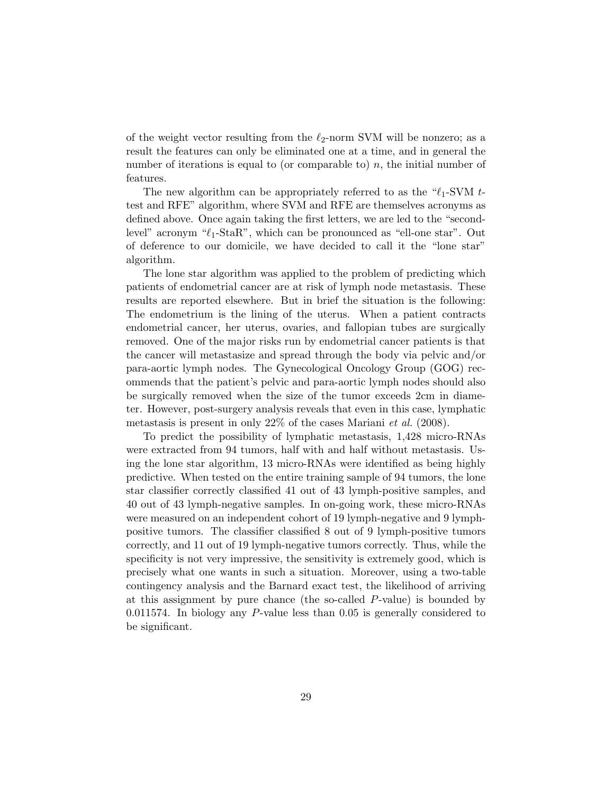of the weight vector resulting from the  $\ell_2$ -norm SVM will be nonzero; as a result the features can only be eliminated one at a time, and in general the number of iterations is equal to (or comparable to)  $n$ , the initial number of features.

The new algorithm can be appropriately referred to as the " $\ell_1$ -SVM ttest and RFE" algorithm, where SVM and RFE are themselves acronyms as defined above. Once again taking the first letters, we are led to the "secondlevel" acronym " $\ell_1$ -StaR", which can be pronounced as "ell-one star". Out of deference to our domicile, we have decided to call it the "lone star" algorithm.

The lone star algorithm was applied to the problem of predicting which patients of endometrial cancer are at risk of lymph node metastasis. These results are reported elsewhere. But in brief the situation is the following: The endometrium is the lining of the uterus. When a patient contracts endometrial cancer, her uterus, ovaries, and fallopian tubes are surgically removed. One of the major risks run by endometrial cancer patients is that the cancer will metastasize and spread through the body via pelvic and/or para-aortic lymph nodes. The Gynecological Oncology Group (GOG) recommends that the patient's pelvic and para-aortic lymph nodes should also be surgically removed when the size of the tumor exceeds 2cm in diameter. However, post-surgery analysis reveals that even in this case, lymphatic metastasis is present in only  $22\%$  of the cases Mariani *et al.* (2008).

To predict the possibility of lymphatic metastasis, 1,428 micro-RNAs were extracted from 94 tumors, half with and half without metastasis. Using the lone star algorithm, 13 micro-RNAs were identified as being highly predictive. When tested on the entire training sample of 94 tumors, the lone star classifier correctly classified 41 out of 43 lymph-positive samples, and 40 out of 43 lymph-negative samples. In on-going work, these micro-RNAs were measured on an independent cohort of 19 lymph-negative and 9 lymphpositive tumors. The classifier classified 8 out of 9 lymph-positive tumors correctly, and 11 out of 19 lymph-negative tumors correctly. Thus, while the specificity is not very impressive, the sensitivity is extremely good, which is precisely what one wants in such a situation. Moreover, using a two-table contingency analysis and the Barnard exact test, the likelihood of arriving at this assignment by pure chance (the so-called  $P$ -value) is bounded by 0.011574. In biology any P-value less than 0.05 is generally considered to be significant.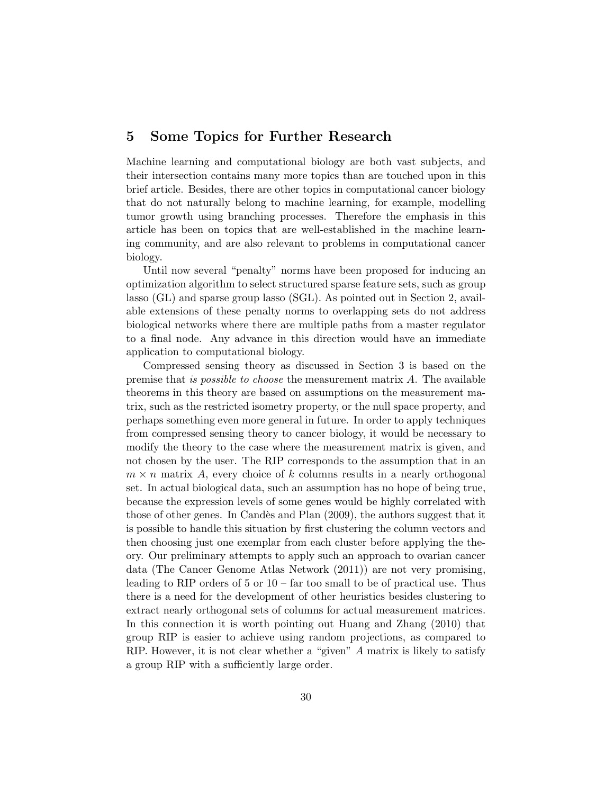### 5 Some Topics for Further Research

Machine learning and computational biology are both vast subjects, and their intersection contains many more topics than are touched upon in this brief article. Besides, there are other topics in computational cancer biology that do not naturally belong to machine learning, for example, modelling tumor growth using branching processes. Therefore the emphasis in this article has been on topics that are well-established in the machine learning community, and are also relevant to problems in computational cancer biology.

Until now several "penalty" norms have been proposed for inducing an optimization algorithm to select structured sparse feature sets, such as group lasso (GL) and sparse group lasso (SGL). As pointed out in Section 2, available extensions of these penalty norms to overlapping sets do not address biological networks where there are multiple paths from a master regulator to a final node. Any advance in this direction would have an immediate application to computational biology.

Compressed sensing theory as discussed in Section 3 is based on the premise that is possible to choose the measurement matrix A. The available theorems in this theory are based on assumptions on the measurement matrix, such as the restricted isometry property, or the null space property, and perhaps something even more general in future. In order to apply techniques from compressed sensing theory to cancer biology, it would be necessary to modify the theory to the case where the measurement matrix is given, and not chosen by the user. The RIP corresponds to the assumption that in an  $m \times n$  matrix A, every choice of k columns results in a nearly orthogonal set. In actual biological data, such an assumption has no hope of being true, because the expression levels of some genes would be highly correlated with those of other genes. In Candès and Plan  $(2009)$ , the authors suggest that it is possible to handle this situation by first clustering the column vectors and then choosing just one exemplar from each cluster before applying the theory. Our preliminary attempts to apply such an approach to ovarian cancer data (The Cancer Genome Atlas Network (2011)) are not very promising, leading to RIP orders of  $5$  or  $10 - \text{far}$  too small to be of practical use. Thus there is a need for the development of other heuristics besides clustering to extract nearly orthogonal sets of columns for actual measurement matrices. In this connection it is worth pointing out Huang and Zhang (2010) that group RIP is easier to achieve using random projections, as compared to RIP. However, it is not clear whether a "given" A matrix is likely to satisfy a group RIP with a sufficiently large order.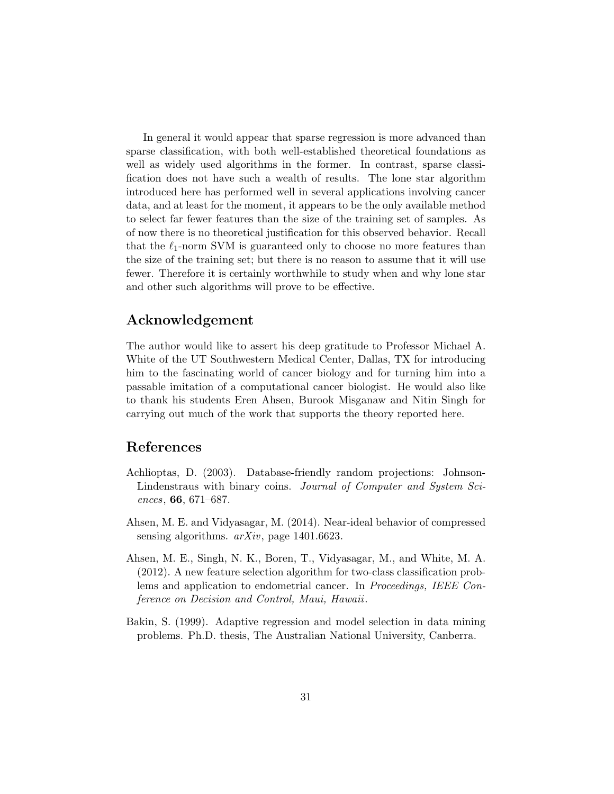In general it would appear that sparse regression is more advanced than sparse classification, with both well-established theoretical foundations as well as widely used algorithms in the former. In contrast, sparse classification does not have such a wealth of results. The lone star algorithm introduced here has performed well in several applications involving cancer data, and at least for the moment, it appears to be the only available method to select far fewer features than the size of the training set of samples. As of now there is no theoretical justification for this observed behavior. Recall that the  $\ell_1$ -norm SVM is guaranteed only to choose no more features than the size of the training set; but there is no reason to assume that it will use fewer. Therefore it is certainly worthwhile to study when and why lone star and other such algorithms will prove to be effective.

### Acknowledgement

The author would like to assert his deep gratitude to Professor Michael A. White of the UT Southwestern Medical Center, Dallas, TX for introducing him to the fascinating world of cancer biology and for turning him into a passable imitation of a computational cancer biologist. He would also like to thank his students Eren Ahsen, Burook Misganaw and Nitin Singh for carrying out much of the work that supports the theory reported here.

### References

- Achlioptas, D. (2003). Database-friendly random projections: Johnson-Lindenstraus with binary coins. Journal of Computer and System Sciences, 66, 671–687.
- Ahsen, M. E. and Vidyasagar, M. (2014). Near-ideal behavior of compressed sensing algorithms.  $arXiv$ , page 1401.6623.
- Ahsen, M. E., Singh, N. K., Boren, T., Vidyasagar, M., and White, M. A. (2012). A new feature selection algorithm for two-class classification problems and application to endometrial cancer. In Proceedings, IEEE Conference on Decision and Control, Maui, Hawaii.
- Bakin, S. (1999). Adaptive regression and model selection in data mining problems. Ph.D. thesis, The Australian National University, Canberra.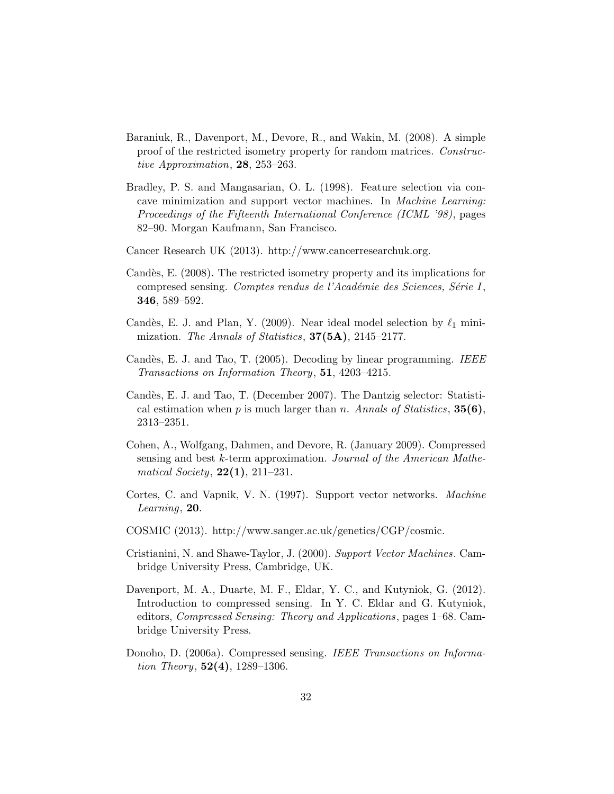- Baraniuk, R., Davenport, M., Devore, R., and Wakin, M. (2008). A simple proof of the restricted isometry property for random matrices. Constructive Approximation, 28, 253–263.
- Bradley, P. S. and Mangasarian, O. L. (1998). Feature selection via concave minimization and support vector machines. In Machine Learning: Proceedings of the Fifteenth International Conference (ICML '98), pages 82–90. Morgan Kaufmann, San Francisco.
- Cancer Research UK (2013). http://www.cancerresearchuk.org.
- Candès, E. (2008). The restricted isometry property and its implications for compresed sensing. Comptes rendus de l'Académie des Sciences, Série I, 346, 589–592.
- Candès, E. J. and Plan, Y. (2009). Near ideal model selection by  $\ell_1$  minimization. The Annals of Statistics,  $37(5A)$ ,  $2145-2177$ .
- Candès, E. J. and Tao, T. (2005). Decoding by linear programming. IEEE Transactions on Information Theory, 51, 4203–4215.
- Candès, E. J. and Tao, T. (December 2007). The Dantzig selector: Statistical estimation when p is much larger than n. Annals of Statistics,  $35(6)$ , 2313–2351.
- Cohen, A., Wolfgang, Dahmen, and Devore, R. (January 2009). Compressed sensing and best k-term approximation. Journal of the American Mathematical Society,  $22(1)$ ,  $211-231$ .
- Cortes, C. and Vapnik, V. N. (1997). Support vector networks. Machine Learning, 20.
- COSMIC (2013). http://www.sanger.ac.uk/genetics/CGP/cosmic.
- Cristianini, N. and Shawe-Taylor, J. (2000). Support Vector Machines. Cambridge University Press, Cambridge, UK.
- Davenport, M. A., Duarte, M. F., Eldar, Y. C., and Kutyniok, G. (2012). Introduction to compressed sensing. In Y. C. Eldar and G. Kutyniok, editors, Compressed Sensing: Theory and Applications, pages 1–68. Cambridge University Press.
- Donoho, D. (2006a). Compressed sensing. IEEE Transactions on Information Theory,  $52(4)$ ,  $1289-1306$ .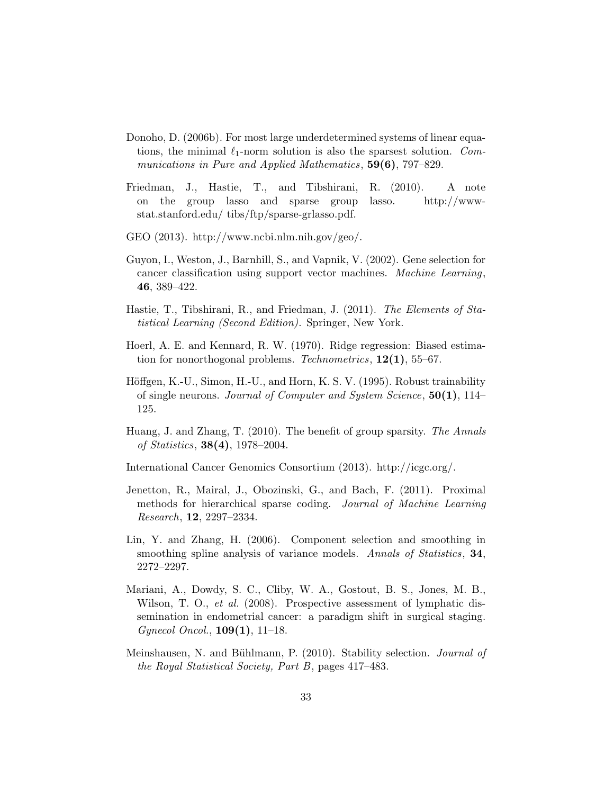- Donoho, D. (2006b). For most large underdetermined systems of linear equations, the minimal  $\ell_1$ -norm solution is also the sparsest solution. Communications in Pure and Applied Mathematics, 59(6), 797–829.
- Friedman, J., Hastie, T., and Tibshirani, R. (2010). A note on the group lasso and sparse group lasso. http://wwwstat.stanford.edu/ tibs/ftp/sparse-grlasso.pdf.
- GEO (2013). http://www.ncbi.nlm.nih.gov/geo/.
- Guyon, I., Weston, J., Barnhill, S., and Vapnik, V. (2002). Gene selection for cancer classification using support vector machines. Machine Learning, 46, 389–422.
- Hastie, T., Tibshirani, R., and Friedman, J. (2011). The Elements of Statistical Learning (Second Edition). Springer, New York.
- Hoerl, A. E. and Kennard, R. W. (1970). Ridge regression: Biased estimation for nonorthogonal problems. Technometrics,  $12(1)$ , 55–67.
- Höffgen, K.-U., Simon, H.-U., and Horn, K. S. V. (1995). Robust trainability of single neurons. Journal of Computer and System Science,  $50(1)$ , 114– 125.
- Huang, J. and Zhang, T. (2010). The benefit of group sparsity. The Annals of Statistics, 38(4), 1978–2004.
- International Cancer Genomics Consortium (2013). http://icgc.org/.
- Jenetton, R., Mairal, J., Obozinski, G., and Bach, F. (2011). Proximal methods for hierarchical sparse coding. Journal of Machine Learning Research, 12, 2297–2334.
- Lin, Y. and Zhang, H. (2006). Component selection and smoothing in smoothing spline analysis of variance models. Annals of Statistics, 34, 2272–2297.
- Mariani, A., Dowdy, S. C., Cliby, W. A., Gostout, B. S., Jones, M. B., Wilson, T. O., *et al.* (2008). Prospective assessment of lymphatic dissemination in endometrial cancer: a paradigm shift in surgical staging.  $Gynecol Oncol., 109(1), 11-18.$
- Meinshausen, N. and Bühlmann, P. (2010). Stability selection. *Journal of* the Royal Statistical Society, Part B, pages 417–483.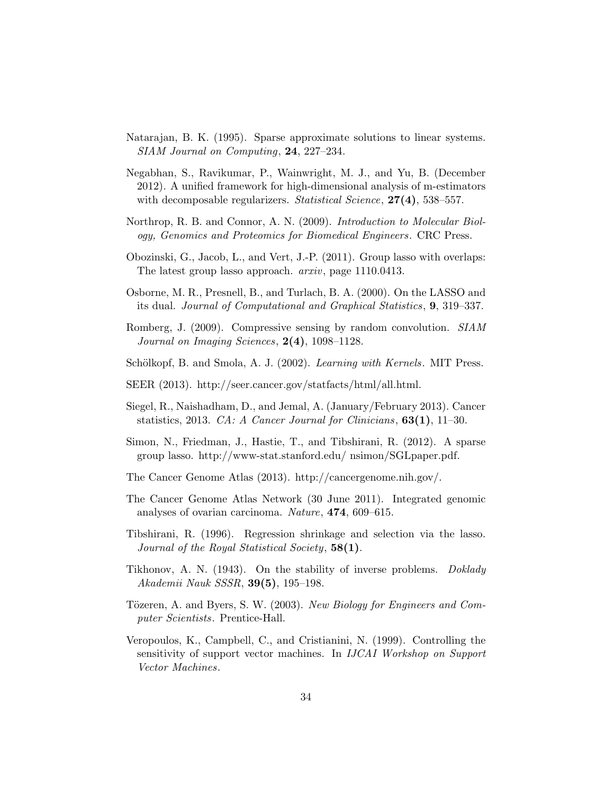- Natarajan, B. K. (1995). Sparse approximate solutions to linear systems. SIAM Journal on Computing, 24, 227–234.
- Negabhan, S., Ravikumar, P., Wainwright, M. J., and Yu, B. (December 2012). A unified framework for high-dimensional analysis of m-estimators with decomposable regularizers. Statistical Science,  $27(4)$ , 538–557.
- Northrop, R. B. and Connor, A. N. (2009). Introduction to Molecular Biology, Genomics and Proteomics for Biomedical Engineers. CRC Press.
- Obozinski, G., Jacob, L., and Vert, J.-P. (2011). Group lasso with overlaps: The latest group lasso approach. arxiv, page 1110.0413.
- Osborne, M. R., Presnell, B., and Turlach, B. A. (2000). On the LASSO and its dual. Journal of Computational and Graphical Statistics, 9, 319–337.
- Romberg, J. (2009). Compressive sensing by random convolution. SIAM Journal on Imaging Sciences,  $2(4)$ , 1098-1128.
- Schölkopf, B. and Smola, A. J. (2002). Learning with Kernels. MIT Press.
- SEER (2013). http://seer.cancer.gov/statfacts/html/all.html.
- Siegel, R., Naishadham, D., and Jemal, A. (January/February 2013). Cancer statistics, 2013. CA: A Cancer Journal for Clinicians,  $63(1)$ , 11–30.
- Simon, N., Friedman, J., Hastie, T., and Tibshirani, R. (2012). A sparse group lasso. http://www-stat.stanford.edu/ nsimon/SGLpaper.pdf.
- The Cancer Genome Atlas (2013). http://cancergenome.nih.gov/.
- The Cancer Genome Atlas Network (30 June 2011). Integrated genomic analyses of ovarian carcinoma. Nature, 474, 609–615.
- Tibshirani, R. (1996). Regression shrinkage and selection via the lasso. Journal of the Royal Statistical Society, 58(1).
- Tikhonov, A. N. (1943). On the stability of inverse problems. Doklady Akademii Nauk SSSR, 39(5), 195–198.
- Tözeren, A. and Byers, S. W. (2003). New Biology for Engineers and Computer Scientists. Prentice-Hall.
- Veropoulos, K., Campbell, C., and Cristianini, N. (1999). Controlling the sensitivity of support vector machines. In IJCAI Workshop on Support Vector Machines.